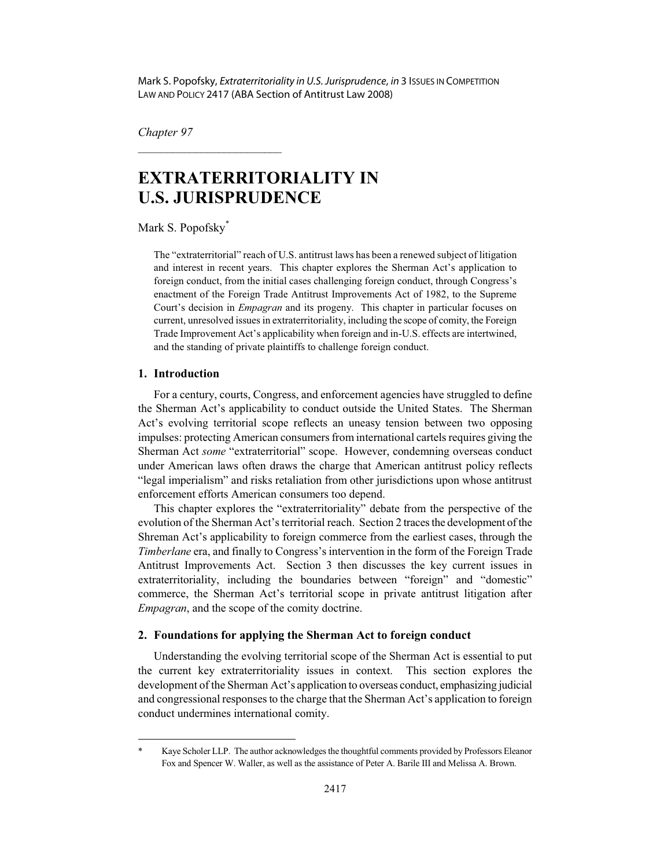Mark S. Popofsky, Extraterritoriality in U.S. Jurisprudence, in 3 ISSUES IN COMPETITION LAW AND POLICY 2417 (ABA Section of Antitrust Law 2008)

*Chapter 97*

# **EXTRATERRITORIALITY IN U.S. JURISPRUDENCE**

Mark S. Popofsky\*

 $\overline{\phantom{a}}$  , where  $\overline{\phantom{a}}$  , where  $\overline{\phantom{a}}$  , where  $\overline{\phantom{a}}$ 

The "extraterritorial" reach of U.S. antitrust laws has been a renewed subject of litigation and interest in recent years. This chapter explores the Sherman Act's application to foreign conduct, from the initial cases challenging foreign conduct, through Congress's enactment of the Foreign Trade Antitrust Improvements Act of 1982, to the Supreme Court's decision in *Empagran* and its progeny. This chapter in particular focuses on current, unresolved issues in extraterritoriality, including the scope of comity, the Foreign Trade Improvement Act's applicability when foreign and in-U.S. effects are intertwined, and the standing of private plaintiffs to challenge foreign conduct.

#### **1. Introduction**

For a century, courts, Congress, and enforcement agencies have struggled to define the Sherman Act's applicability to conduct outside the United States. The Sherman Act's evolving territorial scope reflects an uneasy tension between two opposing impulses: protecting American consumers from international cartels requires giving the Sherman Act *some* "extraterritorial" scope. However, condemning overseas conduct under American laws often draws the charge that American antitrust policy reflects "legal imperialism" and risks retaliation from other jurisdictions upon whose antitrust enforcement efforts American consumers too depend.

This chapter explores the "extraterritoriality" debate from the perspective of the evolution of the Sherman Act's territorial reach. Section 2 traces the development of the Shreman Act's applicability to foreign commerce from the earliest cases, through the *Timberlane* era, and finally to Congress's intervention in the form of the Foreign Trade Antitrust Improvements Act. Section 3 then discusses the key current issues in extraterritoriality, including the boundaries between "foreign" and "domestic" commerce, the Sherman Act's territorial scope in private antitrust litigation after *Empagran*, and the scope of the comity doctrine.

## **2. Foundations for applying the Sherman Act to foreign conduct**

Understanding the evolving territorial scope of the Sherman Act is essential to put the current key extraterritoriality issues in context. This section explores the development of the Sherman Act's application to overseas conduct, emphasizing judicial and congressional responses to the charge that the Sherman Act's application to foreign conduct undermines international comity.

<sup>\*</sup> Kaye Scholer LLP. The author acknowledges the thoughtful comments provided by Professors Eleanor Fox and Spencer W. Waller, as well as the assistance of Peter A. Barile III and Melissa A. Brown.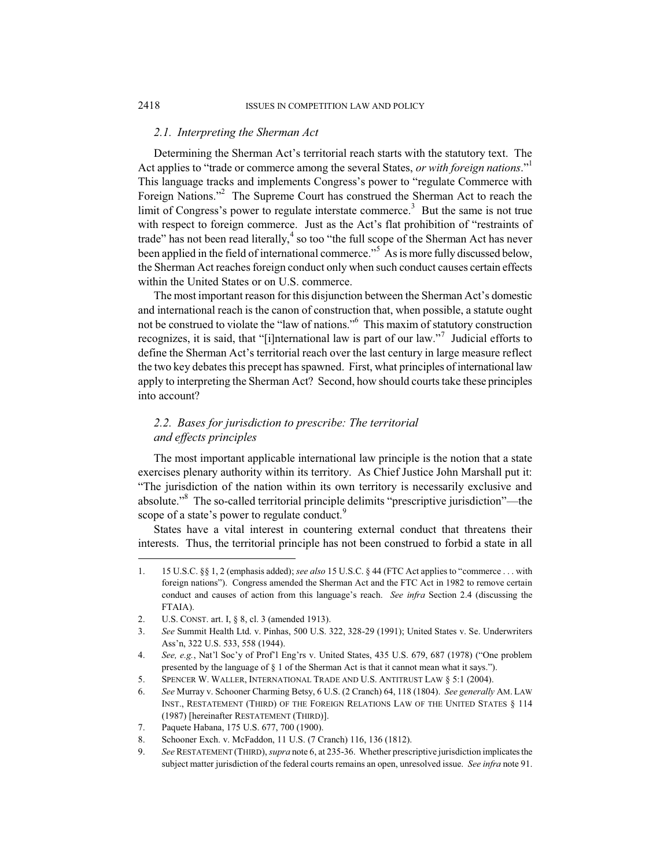#### *2.1. Interpreting the Sherman Act*

Determining the Sherman Act's territorial reach starts with the statutory text. The Act applies to "trade or commerce among the several States, *or with foreign nations*."<sup>1</sup> This language tracks and implements Congress's power to "regulate Commerce with Foreign Nations."<sup>2</sup> The Supreme Court has construed the Sherman Act to reach the limit of Congress's power to regulate interstate commerce.<sup>3</sup> But the same is not true with respect to foreign commerce. Just as the Act's flat prohibition of "restraints of trade" has not been read literally, $^4$  so too "the full scope of the Sherman Act has never been applied in the field of international commerce."<sup>5</sup> As is more fully discussed below, the Sherman Act reaches foreign conduct only when such conduct causes certain effects within the United States or on U.S. commerce.

The most important reason for this disjunction between the Sherman Act's domestic and international reach is the canon of construction that, when possible, a statute ought not be construed to violate the "law of nations."<sup>6</sup> This maxim of statutory construction recognizes, it is said, that "[i]nternational law is part of our law."<sup>7</sup> Judicial efforts to define the Sherman Act's territorial reach over the last century in large measure reflect the two key debates this precept has spawned. First, what principles of international law apply to interpreting the Sherman Act? Second, how should courts take these principles into account?

# *2.2. Bases for jurisdiction to prescribe: The territorial and effects principles*

The most important applicable international law principle is the notion that a state exercises plenary authority within its territory. As Chief Justice John Marshall put it: "The jurisdiction of the nation within its own territory is necessarily exclusive and absolute."<sup>8</sup> The so-called territorial principle delimits "prescriptive jurisdiction"—the scope of a state's power to regulate conduct.<sup>9</sup>

States have a vital interest in countering external conduct that threatens their interests. Thus, the territorial principle has not been construed to forbid a state in all

<sup>1. 15</sup> U.S.C. §§ 1, 2 (emphasis added); *see also* 15 U.S.C. § 44 (FTC Act applies to "commerce . . . with foreign nations"). Congress amended the Sherman Act and the FTC Act in 1982 to remove certain conduct and causes of action from this language's reach. *See infra* Section 2.4 (discussing the FTAIA).

<sup>2.</sup> U.S. CONST. art. I, § 8, cl. 3 (amended 1913).

<sup>3.</sup> *See* Summit Health Ltd. v. Pinhas, 500 U.S. 322, 328-29 (1991); United States v. Se. Underwriters Ass'n, 322 U.S. 533, 558 (1944).

<sup>4.</sup> *See, e.g.*, Nat'l Soc'y of Prof'l Eng'rs v. United States, 435 U.S. 679, 687 (1978) ("One problem presented by the language of § 1 of the Sherman Act is that it cannot mean what it says.").

<sup>5.</sup> SPENCER W. WALLER, INTERNATIONAL TRADE AND U.S. ANTITRUST LAW § 5:1 (2004).

<sup>6.</sup> *See* Murray v. Schooner Charming Betsy, 6 U.S. (2 Cranch) 64, 118 (1804). *See generally* AM. LAW INST., RESTATEMENT (THIRD) OF THE FOREIGN RELATIONS LAW OF THE UNITED STATES § 114 (1987) [hereinafter RESTATEMENT (THIRD)].

<sup>7.</sup> Paquete Habana, 175 U.S. 677, 700 (1900).

<sup>8.</sup> Schooner Exch. v. McFaddon, 11 U.S. (7 Cranch) 116, 136 (1812).

<sup>9.</sup> *See* RESTATEMENT (THIRD),*supra* note 6, at 235-36. Whether prescriptive jurisdiction implicates the subject matter jurisdiction of the federal courts remains an open, unresolved issue. *See infra* note 91.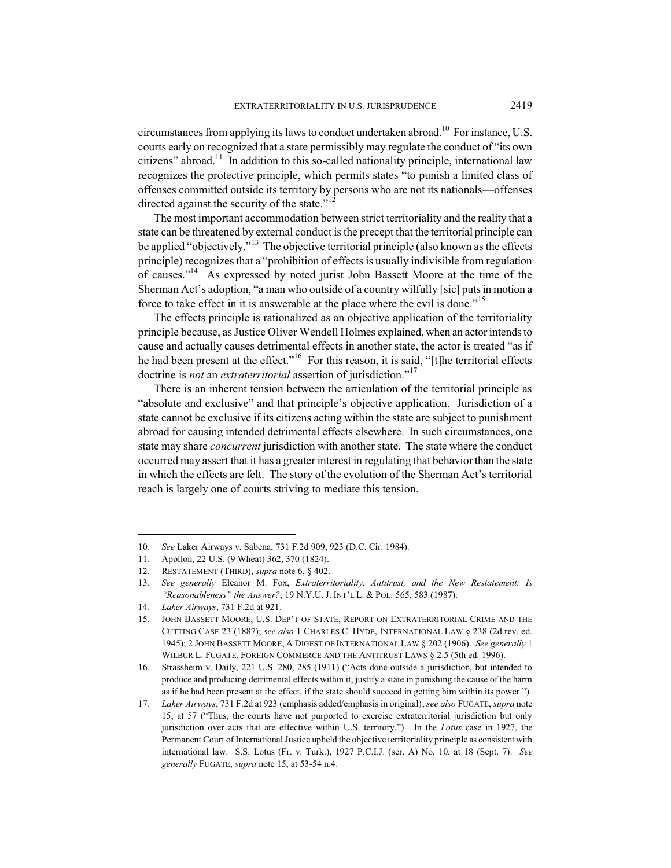circumstances from applying its laws to conduct undertaken abroad.<sup>10</sup> For instance, U.S. courts early on recognized that a state permissibly may regulate the conduct of "its own citizens" abroad.<sup>11</sup> In addition to this so-called nationality principle, international law recognizes the protective principle, which permits states "to punish a limited class of offenses committed outside its territory by persons who are not its nationals—offenses directed against the security of the state."<sup>12</sup>

The most important accommodation between strict territoriality and the reality that a state can be threatened by external conduct is the precept that the territorial principle can be applied "objectively."<sup>13</sup> The objective territorial principle (also known as the effects principle) recognizes that a "prohibition of effects is usually indivisible from regulation of causes."<sup>14</sup> As expressed by noted jurist John Bassett Moore at the time of the Sherman Act's adoption, "a man who outside of a country wilfully [sic] puts in motion a force to take effect in it is answerable at the place where the evil is done."<sup>15</sup>

The effects principle is rationalized as an objective application of the territoriality principle because, as Justice Oliver Wendell Holmes explained, when an actor intends to cause and actually causes detrimental effects in another state, the actor is treated "as if he had been present at the effect."<sup>16</sup> For this reason, it is said, "[t]he territorial effects doctrine is *not* an *extraterritorial* assertion of jurisdiction."<sup>17</sup>

There is an inherent tension between the articulation of the territorial principle as "absolute and exclusive" and that principle's objective application. Jurisdiction of a state cannot be exclusive if its citizens acting within the state are subject to punishment abroad for causing intended detrimental effects elsewhere. In such circumstances, one state may share *concurrent* jurisdiction with another state. The state where the conduct occurred may assert that it has a greater interest in regulating that behavior than the state in which the effects are felt. The story of the evolution of the Sherman Act's territorial reach is largely one of courts striving to mediate this tension.

<sup>10.</sup> *See* Laker Airways v. Sabena, 731 F.2d 909, 923 (D.C. Cir. 1984).

<sup>11.</sup> Apollon, 22 U.S. (9 Wheat) 362, 370 (1824).

<sup>12.</sup> RESTATEMENT (THIRD), *supra* note 6, § 402.

<sup>13.</sup> *See generally* Eleanor M. Fox, *Extraterritoriality, Antitrust, and the New Restatement: Is "Reasonableness" the Answer?*, 19 N.Y.U. J. INT'L L. & POL. 565, 583 (1987).

<sup>14.</sup> *Laker Airways*, 731 F.2d at 921.

<sup>15.</sup> JOHN BASSETT MOORE, U.S. DEP'T OF STATE, REPORT ON EXTRATERRITORIAL CRIME AND THE CUTTING CASE 23 (1887); *see also* 1 CHARLES C. HYDE, INTERNATIONAL LAW § 238 (2d rev. ed. 1945); 2 JOHN BASSETT MOORE, A DIGEST OF INTERNATIONAL LAW § 202 (1906). *See generally* 1 WILBUR L. FUGATE, FOREIGN COMMERCE AND THE ANTITRUST LAWS § 2.5 (5th ed. 1996).

<sup>16.</sup> Strassheim v. Daily, 221 U.S. 280, 285 (1911) ("Acts done outside a jurisdiction, but intended to produce and producing detrimental effects within it, justify a state in punishing the cause of the harm as if he had been present at the effect, if the state should succeed in getting him within its power.").

<sup>17.</sup> *Laker Airways*, 731 F.2d at 923 (emphasis added/emphasis in original); *see also* FUGATE, *supra* note 15, at 57 ("Thus, the courts have not purported to exercise extraterritorial jurisdiction but only jurisdiction over acts that are effective within U.S. territory."). In the *Lotus* case in 1927, the Permanent Court of International Justice upheld the objective territoriality principle as consistent with international law. S.S. Lotus (Fr. v. Turk.), 1927 P.C.I.J. (ser. A) No. 10, at 18 (Sept. 7). *See generally* FUGATE, *supra* note 15, at 53-54 n.4.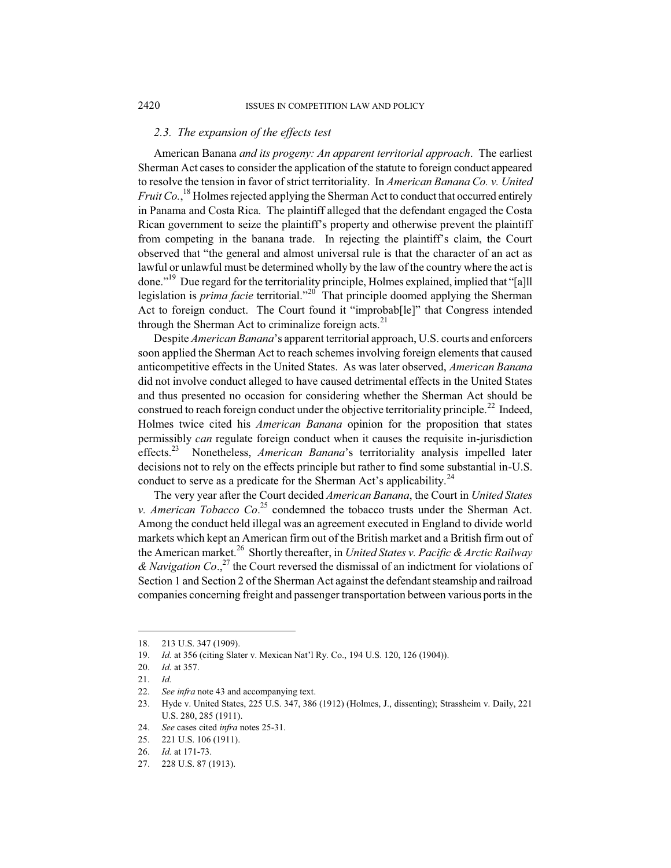## *2.3. The expansion of the effects test*

American Banana *and its progeny: An apparent territorial approach*. The earliest Sherman Act cases to consider the application of the statute to foreign conduct appeared to resolve the tension in favor of strict territoriality. In *American Banana Co. v. United Fruit Co.*, <sup>18</sup> Holmes rejected applying the Sherman Act to conduct that occurred entirely in Panama and Costa Rica. The plaintiff alleged that the defendant engaged the Costa Rican government to seize the plaintiff's property and otherwise prevent the plaintiff from competing in the banana trade. In rejecting the plaintiff's claim, the Court observed that "the general and almost universal rule is that the character of an act as lawful or unlawful must be determined wholly by the law of the country where the act is done."<sup>19</sup> Due regard for the territoriality principle, Holmes explained, implied that "[a]ll legislation is *prima facie* territorial."<sup>20</sup> That principle doomed applying the Sherman Act to foreign conduct. The Court found it "improbab[le]" that Congress intended through the Sherman Act to criminalize foreign acts. $21$ 

Despite *American Banana*'s apparent territorial approach, U.S. courts and enforcers soon applied the Sherman Act to reach schemes involving foreign elements that caused anticompetitive effects in the United States. As was later observed, *American Banana* did not involve conduct alleged to have caused detrimental effects in the United States and thus presented no occasion for considering whether the Sherman Act should be construed to reach foreign conduct under the objective territoriality principle.<sup>22</sup> Indeed, Holmes twice cited his *American Banana* opinion for the proposition that states permissibly *can* regulate foreign conduct when it causes the requisite in-jurisdiction effects.<sup>23</sup> Nonetheless, *American Banana*'s territoriality analysis impelled later decisions not to rely on the effects principle but rather to find some substantial in-U.S. conduct to serve as a predicate for the Sherman Act's applicability.<sup>24</sup>

The very year after the Court decided *American Banana*, the Court in *United States v. American Tobacco Co*. <sup>25</sup> condemned the tobacco trusts under the Sherman Act. Among the conduct held illegal was an agreement executed in England to divide world markets which kept an American firm out of the British market and a British firm out of the American market.<sup>26</sup> Shortly thereafter, in *United States v. Pacific & Arctic Railway & Navigation Co*., <sup>27</sup> the Court reversed the dismissal of an indictment for violations of Section 1 and Section 2 of the Sherman Act against the defendant steamship and railroad companies concerning freight and passenger transportation between various ports in the

<sup>18. 213</sup> U.S. 347 (1909).

<sup>19.</sup> *Id.* at 356 (citing Slater v. Mexican Nat'l Ry. Co., 194 U.S. 120, 126 (1904)).

<sup>20.</sup> *Id.* at 357.

<sup>21.</sup> *Id.*

<sup>22.</sup> *See infra* note 43 and accompanying text.

<sup>23.</sup> Hyde v. United States, 225 U.S. 347, 386 (1912) (Holmes, J., dissenting); Strassheim v. Daily, 221 U.S. 280, 285 (1911).

<sup>24.</sup> *See* cases cited *infra* notes 25-31.

<sup>25. 221</sup> U.S. 106 (1911).

<sup>26.</sup> *Id.* at 171-73.

<sup>27. 228</sup> U.S. 87 (1913).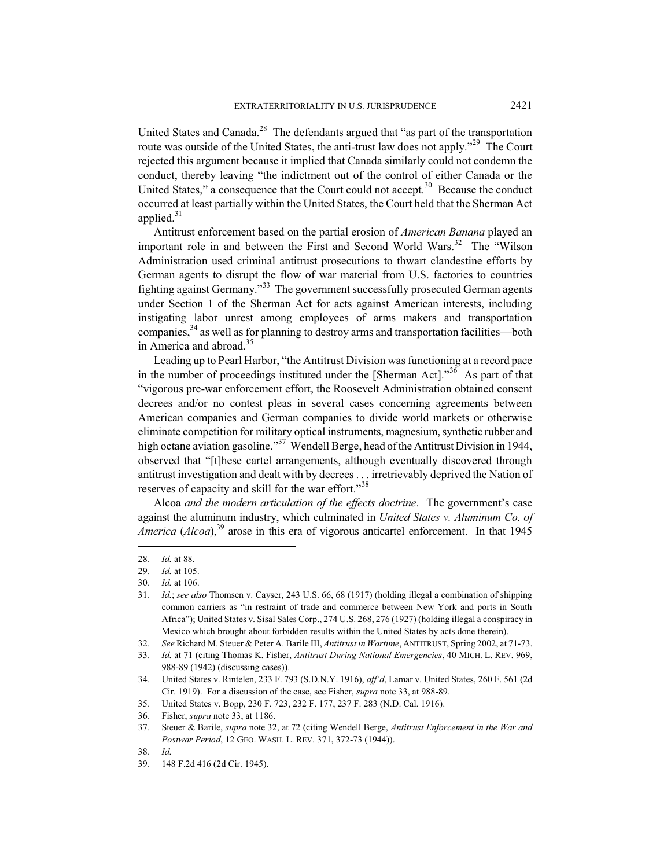United States and Canada.<sup>28</sup> The defendants argued that "as part of the transportation route was outside of the United States, the anti-trust law does not apply."<sup>29</sup> The Court rejected this argument because it implied that Canada similarly could not condemn the conduct, thereby leaving "the indictment out of the control of either Canada or the United States," a consequence that the Court could not accept. $30$  Because the conduct occurred at least partially within the United States, the Court held that the Sherman Act applied. $31$ 

Antitrust enforcement based on the partial erosion of *American Banana* played an important role in and between the First and Second World Wars.<sup>32</sup> The "Wilson Administration used criminal antitrust prosecutions to thwart clandestine efforts by German agents to disrupt the flow of war material from U.S. factories to countries fighting against Germany."<sup>33</sup> The government successfully prosecuted German agents under Section 1 of the Sherman Act for acts against American interests, including instigating labor unrest among employees of arms makers and transportation companies, $34$  as well as for planning to destroy arms and transportation facilities—both in America and abroad.<sup>35</sup>

Leading up to Pearl Harbor, "the Antitrust Division was functioning at a record pace in the number of proceedings instituted under the [Sherman Act]. $1^{36}$  As part of that "vigorous pre-war enforcement effort, the Roosevelt Administration obtained consent decrees and/or no contest pleas in several cases concerning agreements between American companies and German companies to divide world markets or otherwise eliminate competition for military optical instruments, magnesium, synthetic rubber and high octane aviation gasoline."<sup>37</sup> Wendell Berge, head of the Antitrust Division in 1944, observed that "[t]hese cartel arrangements, although eventually discovered through antitrust investigation and dealt with by decrees . . . irretrievably deprived the Nation of reserves of capacity and skill for the war effort."<sup>38</sup>

Alcoa *and the modern articulation of the effects doctrine*. The government's case against the aluminum industry, which culminated in *United States v. Aluminum Co. of America* (*Alcoa*),<sup>39</sup> arose in this era of vigorous anticartel enforcement. In that 1945

<sup>28.</sup> *Id.* at 88.

<sup>29.</sup> *Id.* at 105.

<sup>30.</sup> *Id.* at 106.

<sup>31.</sup> *Id.*; *see also* Thomsen v. Cayser, 243 U.S. 66, 68 (1917) (holding illegal a combination of shipping common carriers as "in restraint of trade and commerce between New York and ports in South Africa"); United States v. Sisal Sales Corp., 274 U.S. 268, 276 (1927) (holding illegal a conspiracy in Mexico which brought about forbidden results within the United States by acts done therein).

<sup>32.</sup> *See* Richard M. Steuer & Peter A. Barile III, *Antitrust in Wartime*, ANTITRUST, Spring 2002, at 71-73.

<sup>33.</sup> *Id.* at 71 (citing Thomas K. Fisher, *Antitrust During National Emergencies*, 40 MICH. L. REV. 969, 988-89 (1942) (discussing cases)).

<sup>34.</sup> United States v. Rintelen, 233 F. 793 (S.D.N.Y. 1916), *aff'd*, Lamar v. United States, 260 F. 561 (2d Cir. 1919). For a discussion of the case, see Fisher, *supra* note 33, at 988-89.

<sup>35.</sup> United States v. Bopp, 230 F. 723, 232 F. 177, 237 F. 283 (N.D. Cal. 1916).

<sup>36.</sup> Fisher, *supra* note 33, at 1186.

<sup>37.</sup> Steuer & Barile, *supra* note 32, at 72 (citing Wendell Berge, *Antitrust Enforcement in the War and Postwar Period*, 12 GEO. WASH. L. REV. 371, 372-73 (1944)).

<sup>38.</sup> *Id.*

<sup>39. 148</sup> F.2d 416 (2d Cir. 1945).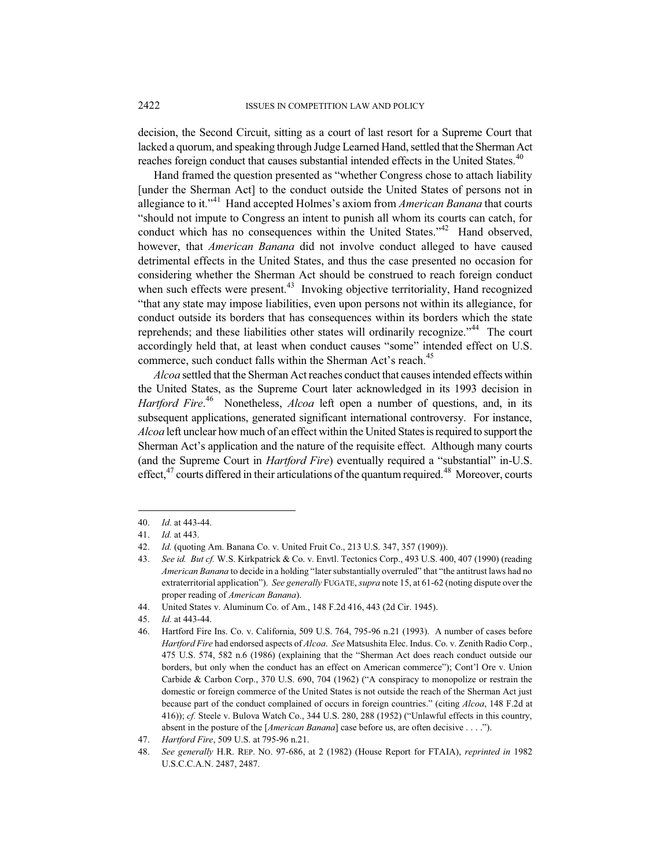decision, the Second Circuit, sitting as a court of last resort for a Supreme Court that lacked a quorum, and speaking through Judge Learned Hand, settled that the Sherman Act reaches foreign conduct that causes substantial intended effects in the United States.<sup>40</sup>

Hand framed the question presented as "whether Congress chose to attach liability [under the Sherman Act] to the conduct outside the United States of persons not in allegiance to it."<sup>41</sup> Hand accepted Holmes's axiom from *American Banana* that courts "should not impute to Congress an intent to punish all whom its courts can catch, for conduct which has no consequences within the United States."<sup>42</sup> Hand observed, however, that *American Banana* did not involve conduct alleged to have caused detrimental effects in the United States, and thus the case presented no occasion for considering whether the Sherman Act should be construed to reach foreign conduct when such effects were present.<sup>43</sup> Invoking objective territoriality, Hand recognized "that any state may impose liabilities, even upon persons not within its allegiance, for conduct outside its borders that has consequences within its borders which the state reprehends; and these liabilities other states will ordinarily recognize."<sup>44</sup> The court accordingly held that, at least when conduct causes "some" intended effect on U.S. commerce, such conduct falls within the Sherman Act's reach.<sup>45</sup>

*Alcoa* settled that the Sherman Act reaches conduct that causes intended effects within the United States, as the Supreme Court later acknowledged in its 1993 decision in *Hartford Fire*. <sup>46</sup> Nonetheless, *Alcoa* left open a number of questions, and, in its subsequent applications, generated significant international controversy. For instance, *Alcoa* left unclear how much of an effect within the United States isrequired to support the Sherman Act's application and the nature of the requisite effect. Although many courts (and the Supreme Court in *Hartford Fire*) eventually required a "substantial" in-U.S. effect, $47$  courts differed in their articulations of the quantum required.<sup>48</sup> Moreover, courts

<sup>40.</sup> *Id.* at 443-44.

<sup>41.</sup> *Id.* at 443.

<sup>42.</sup> *Id.* (quoting Am. Banana Co. v. United Fruit Co., 213 U.S. 347, 357 (1909)).

<sup>43.</sup> *See id. But cf.* W.S. Kirkpatrick & Co. v. Envtl. Tectonics Corp., 493 U.S. 400, 407 (1990) (reading *American Banana* to decide in a holding "later substantially overruled" that "the antitrust laws had no extraterritorial application"). *See generally* FUGATE, *supra* note 15, at 61-62 (noting dispute over the proper reading of *American Banana*).

<sup>44.</sup> United States v. Aluminum Co. of Am., 148 F.2d 416, 443 (2d Cir. 1945).

<sup>45.</sup> *Id.* at 443-44.

<sup>46.</sup> Hartford Fire Ins. Co. v. California, 509 U.S. 764, 795-96 n.21 (1993). A number of cases before *Hartford Fire* had endorsed aspects of *Alcoa*. *See* Matsushita Elec. Indus. Co. v. Zenith Radio Corp., 475 U.S. 574, 582 n.6 (1986) (explaining that the "Sherman Act does reach conduct outside our borders, but only when the conduct has an effect on American commerce"); Cont'l Ore v. Union Carbide & Carbon Corp., 370 U.S. 690, 704 (1962) ("A conspiracy to monopolize or restrain the domestic or foreign commerce of the United States is not outside the reach of the Sherman Act just because part of the conduct complained of occurs in foreign countries." (citing *Alcoa*, 148 F.2d at 416)); *cf.* Steele v. Bulova Watch Co., 344 U.S. 280, 288 (1952) ("Unlawful effects in this country, absent in the posture of the [*American Banana*] case before us, are often decisive . . . .").

<sup>47.</sup> *Hartford Fire*, 509 U.S. at 795-96 n.21.

<sup>48.</sup> *See generally* H.R. REP. NO. 97-686, at 2 (1982) (House Report for FTAIA), *reprinted in* 1982 U.S.C.C.A.N. 2487, 2487.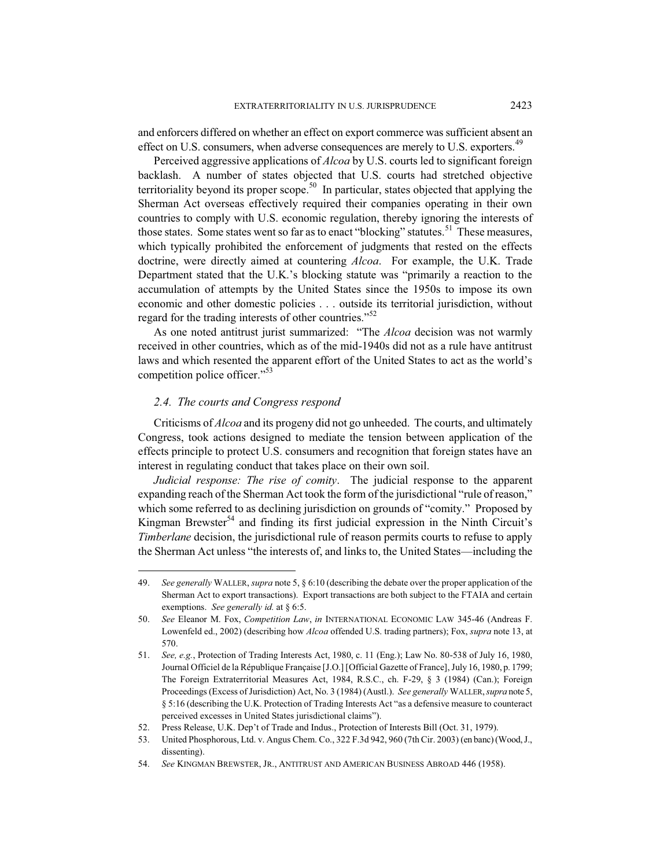and enforcers differed on whether an effect on export commerce was sufficient absent an effect on U.S. consumers, when adverse consequences are merely to U.S. exporters.<sup>49</sup>

Perceived aggressive applications of *Alcoa* by U.S. courts led to significant foreign backlash. A number of states objected that U.S. courts had stretched objective territoriality beyond its proper scope.<sup>50</sup> In particular, states objected that applying the Sherman Act overseas effectively required their companies operating in their own countries to comply with U.S. economic regulation, thereby ignoring the interests of those states. Some states went so far as to enact "blocking" statutes.<sup>51</sup> These measures, which typically prohibited the enforcement of judgments that rested on the effects doctrine, were directly aimed at countering *Alcoa*. For example, the U.K. Trade Department stated that the U.K.'s blocking statute was "primarily a reaction to the accumulation of attempts by the United States since the 1950s to impose its own economic and other domestic policies . . . outside its territorial jurisdiction, without regard for the trading interests of other countries."<sup>52</sup>

As one noted antitrust jurist summarized: "The *Alcoa* decision was not warmly received in other countries, which as of the mid-1940s did not as a rule have antitrust laws and which resented the apparent effort of the United States to act as the world's competition police officer."<sup>53</sup>

# *2.4. The courts and Congress respond*

Criticisms of *Alcoa* and its progeny did not go unheeded. The courts, and ultimately Congress, took actions designed to mediate the tension between application of the effects principle to protect U.S. consumers and recognition that foreign states have an interest in regulating conduct that takes place on their own soil.

*Judicial response: The rise of comity*. The judicial response to the apparent expanding reach of the Sherman Act took the form of the jurisdictional "rule of reason," which some referred to as declining jurisdiction on grounds of "comity." Proposed by Kingman Brewster<sup>54</sup> and finding its first judicial expression in the Ninth Circuit's *Timberlane* decision, the jurisdictional rule of reason permits courts to refuse to apply the Sherman Act unless "the interests of, and links to, the United States—including the

<sup>49.</sup> *See generally* WALLER, *supra* note 5, § 6:10 (describing the debate over the proper application of the Sherman Act to export transactions). Export transactions are both subject to the FTAIA and certain exemptions. *See generally id.* at § 6:5.

<sup>50.</sup> *See* Eleanor M. Fox, *Competition Law*, *in* INTERNATIONAL ECONOMIC LAW 345-46 (Andreas F. Lowenfeld ed., 2002) (describing how *Alcoa* offended U.S. trading partners); Fox, *supra* note 13, at 570.

<sup>51.</sup> *See, e.g.*, Protection of Trading Interests Act, 1980, c. 11 (Eng.); Law No. 80-538 of July 16, 1980, Journal Officiel de la République Française [J.O.] [Official Gazette of France], July 16, 1980, p. 1799; The Foreign Extraterritorial Measures Act, 1984, R.S.C., ch. F-29, § 3 (1984) (Can.); Foreign Proceedings (Excess of Jurisdiction) Act, No. 3 (1984) (Austl.). *See generally* WALLER,*supra* note 5, § 5:16 (describing the U.K. Protection of Trading Interests Act "as a defensive measure to counteract perceived excesses in United States jurisdictional claims").

<sup>52.</sup> Press Release, U.K. Dep't of Trade and Indus., Protection of Interests Bill (Oct. 31, 1979).

<sup>53.</sup> United Phosphorous, Ltd. v. Angus Chem. Co., 322 F.3d 942, 960 (7th Cir. 2003) (en banc) (Wood, J., dissenting).

<sup>54.</sup> *See* KINGMAN BREWSTER, JR., ANTITRUST AND AMERICAN BUSINESS ABROAD 446 (1958).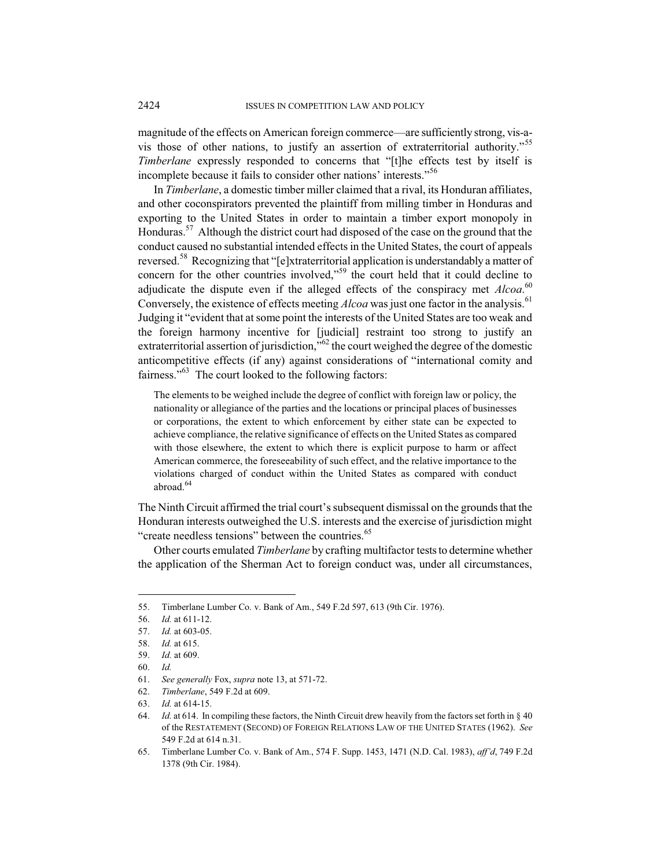magnitude of the effects on American foreign commerce—are sufficiently strong, vis-avis those of other nations, to justify an assertion of extraterritorial authority."<sup>55</sup> *Timberlane* expressly responded to concerns that "[t]he effects test by itself is incomplete because it fails to consider other nations' interests."<sup>56</sup>

In *Timberlane*, a domestic timber miller claimed that a rival, its Honduran affiliates, and other coconspirators prevented the plaintiff from milling timber in Honduras and exporting to the United States in order to maintain a timber export monopoly in Honduras.<sup>57</sup> Although the district court had disposed of the case on the ground that the conduct caused no substantial intended effects in the United States, the court of appeals reversed.<sup>58</sup> Recognizing that "[e]xtraterritorial application is understandably a matter of concern for the other countries involved,<sup>559</sup> the court held that it could decline to adjudicate the dispute even if the alleged effects of the conspiracy met *Alcoa*. 60 Conversely, the existence of effects meeting *Alcoa* was just one factor in the analysis.<sup>61</sup> Judging it "evident that at some point the interests of the United States are too weak and the foreign harmony incentive for [judicial] restraint too strong to justify an extraterritorial assertion of jurisdiction, $\overline{p}$ <sup>62</sup> the court weighed the degree of the domestic anticompetitive effects (if any) against considerations of "international comity and fairness."<sup>63</sup> The court looked to the following factors:

The elements to be weighed include the degree of conflict with foreign law or policy, the nationality or allegiance of the parties and the locations or principal places of businesses or corporations, the extent to which enforcement by either state can be expected to achieve compliance, the relative significance of effects on the United States as compared with those elsewhere, the extent to which there is explicit purpose to harm or affect American commerce, the foreseeability of such effect, and the relative importance to the violations charged of conduct within the United States as compared with conduct abroad.<sup>64</sup>

The Ninth Circuit affirmed the trial court's subsequent dismissal on the grounds that the Honduran interests outweighed the U.S. interests and the exercise of jurisdiction might "create needless tensions" between the countries.<sup>65</sup>

Other courts emulated *Timberlane* by crafting multifactor tests to determine whether the application of the Sherman Act to foreign conduct was, under all circumstances,

<sup>55.</sup> Timberlane Lumber Co. v. Bank of Am., 549 F.2d 597, 613 (9th Cir. 1976).

<sup>56.</sup> *Id.* at 611-12.

<sup>57.</sup> *Id.* at 603-05.

<sup>58.</sup> *Id.* at 615.

<sup>59.</sup> *Id.* at 609.

<sup>60.</sup> *Id.*

<sup>61.</sup> *See generally* Fox, *supra* note 13, at 571-72.

<sup>62.</sup> *Timberlane*, 549 F.2d at 609.

<sup>63.</sup> *Id.* at 614-15.

<sup>64.</sup> *Id.* at 614. In compiling these factors, the Ninth Circuit drew heavily from the factors set forth in § 40 of the RESTATEMENT (SECOND) OF FOREIGN RELATIONS LAW OF THE UNITED STATES (1962). *See* 549 F.2d at 614 n.31.

<sup>65.</sup> Timberlane Lumber Co. v. Bank of Am., 574 F. Supp. 1453, 1471 (N.D. Cal. 1983), *aff'd*, 749 F.2d 1378 (9th Cir. 1984).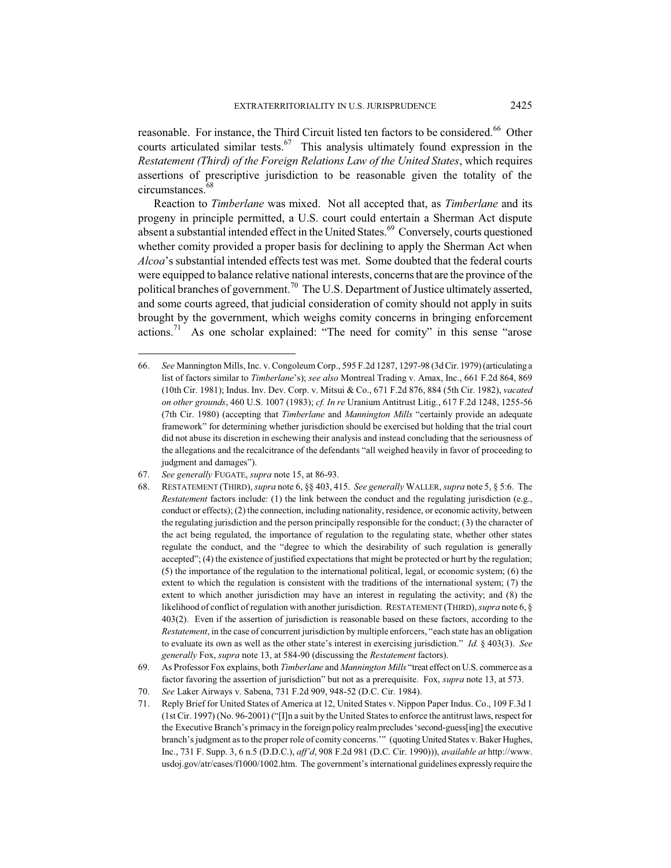reasonable. For instance, the Third Circuit listed ten factors to be considered.<sup>66</sup> Other courts articulated similar tests.<sup>67</sup> This analysis ultimately found expression in the *Restatement (Third) of the Foreign Relations Law of the United States*, which requires assertions of prescriptive jurisdiction to be reasonable given the totality of the circumstances.<sup>68</sup>

Reaction to *Timberlane* was mixed. Not all accepted that, as *Timberlane* and its progeny in principle permitted, a U.S. court could entertain a Sherman Act dispute absent a substantial intended effect in the United States. $69$  Conversely, courts questioned whether comity provided a proper basis for declining to apply the Sherman Act when *Alcoa*'s substantial intended effects test was met. Some doubted that the federal courts were equipped to balance relative national interests, concerns that are the province of the political branches of government.<sup>70</sup> The U.S. Department of Justice ultimately asserted, and some courts agreed, that judicial consideration of comity should not apply in suits brought by the government, which weighs comity concerns in bringing enforcement actions.<sup>71</sup> As one scholar explained: "The need for comity" in this sense "arose

<sup>66.</sup> *See* Mannington Mills, Inc. v. Congoleum Corp., 595 F.2d 1287, 1297-98 (3d Cir. 1979) (articulating a list of factors similar to *Timberlane*'s); *see also* Montreal Trading v. Amax, Inc., 661 F.2d 864, 869 (10th Cir. 1981); Indus. Inv. Dev. Corp. v. Mitsui & Co., 671 F.2d 876, 884 (5th Cir. 1982), *vacated on other grounds*, 460 U.S. 1007 (1983); *cf. In re* Uranium Antitrust Litig., 617 F.2d 1248, 1255-56 (7th Cir. 1980) (accepting that *Timberlane* and *Mannington Mills* "certainly provide an adequate framework" for determining whether jurisdiction should be exercised but holding that the trial court did not abuse its discretion in eschewing their analysis and instead concluding that the seriousness of the allegations and the recalcitrance of the defendants "all weighed heavily in favor of proceeding to judgment and damages").

<sup>67.</sup> *See generally* FUGATE, *supra* note 15, at 86-93.

<sup>68.</sup> RESTATEMENT (THIRD), *supra* note 6, §§ 403, 415. *See generally* WALLER, *supra* note 5, § 5:6. The *Restatement* factors include: (1) the link between the conduct and the regulating jurisdiction (e.g., conduct or effects); (2) the connection, including nationality, residence, or economic activity, between the regulating jurisdiction and the person principally responsible for the conduct; (3) the character of the act being regulated, the importance of regulation to the regulating state, whether other states regulate the conduct, and the "degree to which the desirability of such regulation is generally accepted"; (4) the existence of justified expectations that might be protected or hurt by the regulation; (5) the importance of the regulation to the international political, legal, or economic system; (6) the extent to which the regulation is consistent with the traditions of the international system; (7) the extent to which another jurisdiction may have an interest in regulating the activity; and (8) the likelihood of conflict of regulation with another jurisdiction. RESTATEMENT (THIRD),*supra* note 6, § 403(2). Even if the assertion of jurisdiction is reasonable based on these factors, according to the *Restatement*, in the case of concurrent jurisdiction by multiple enforcers, "each state has an obligation to evaluate its own as well as the other state's interest in exercising jurisdiction." *Id.* § 403(3). *See generally* Fox, *supra* note 13, at 584-90 (discussing the *Restatement* factors).

<sup>69.</sup> As Professor Fox explains, both *Timberlane* and *Mannington Mills* "treat effect on U.S. commerce as a factor favoring the assertion of jurisdiction" but not as a prerequisite. Fox, *supra* note 13, at 573.

<sup>70.</sup> *See* Laker Airways v. Sabena, 731 F.2d 909, 948-52 (D.C. Cir. 1984).

<sup>71.</sup> Reply Brief for United States of America at 12, United States v. Nippon Paper Indus. Co., 109 F.3d 1 (1st Cir. 1997) (No. 96-2001) ("[I]n a suit by the United States to enforce the antitrust laws, respect for the Executive Branch's primacy in the foreign policy realm precludes 'second-guess[ing] the executive branch's judgment as to the proper role of comity concerns.'" (quoting United States v. Baker Hughes, Inc., 731 F. Supp. 3, 6 n.5 (D.D.C.), *aff'd*, 908 F.2d 981 (D.C. Cir. 1990))), *available at* http://www. usdoj.gov/atr/cases/f1000/1002.htm. The government's international guidelines expressly require the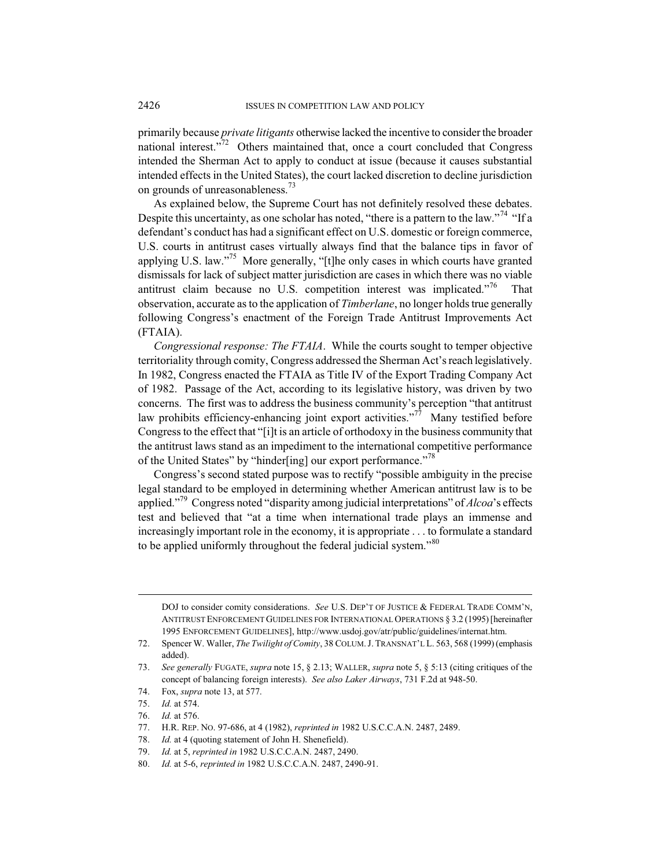primarily because *private litigants* otherwise lacked the incentive to consider the broader national interest."<sup>72</sup> Others maintained that, once a court concluded that Congress intended the Sherman Act to apply to conduct at issue (because it causes substantial intended effects in the United States), the court lacked discretion to decline jurisdiction on grounds of unreasonableness.<sup>73</sup>

As explained below, the Supreme Court has not definitely resolved these debates. Despite this uncertainty, as one scholar has noted, "there is a pattern to the law."<sup>74</sup> "If a defendant's conduct has had a significant effect on U.S. domestic or foreign commerce, U.S. courts in antitrust cases virtually always find that the balance tips in favor of applying U.S. law."<sup>75</sup> More generally, "[t]he only cases in which courts have granted dismissals for lack of subject matter jurisdiction are cases in which there was no viable antitrust claim because no U.S. competition interest was implicated. $176$  That observation, accurate as to the application of *Timberlane*, no longer holds true generally following Congress's enactment of the Foreign Trade Antitrust Improvements Act (FTAIA).

*Congressional response: The FTAIA*. While the courts sought to temper objective territoriality through comity, Congress addressed the Sherman Act's reach legislatively. In 1982, Congress enacted the FTAIA as Title IV of the Export Trading Company Act of 1982. Passage of the Act, according to its legislative history, was driven by two concerns. The first was to address the business community's perception "that antitrust law prohibits efficiency-enhancing joint export activities."<sup>77</sup> Many testified before Congress to the effect that "[i]t is an article of orthodoxy in the business community that the antitrust laws stand as an impediment to the international competitive performance of the United States" by "hinder[ing] our export performance."<sup>78</sup>

Congress's second stated purpose was to rectify "possible ambiguity in the precise legal standard to be employed in determining whether American antitrust law is to be applied."<sup>79</sup> Congress noted "disparity among judicial interpretations" of *Alcoa*'s effects test and believed that "at a time when international trade plays an immense and increasingly important role in the economy, it is appropriate . . . to formulate a standard to be applied uniformly throughout the federal judicial system."<sup>80</sup>

DOJ to consider comity considerations. *See* U.S. DEP'T OF JUSTICE & FEDERAL TRADE COMM'N, ANTITRUST ENFORCEMENT GUIDELINES FOR INTERNATIONAL OPERATIONS § 3.2 (1995) [hereinafter 1995 ENFORCEMENT GUIDELINES], http://www.usdoj.gov/atr/public/guidelines/internat.htm.

<sup>72.</sup> Spencer W. Waller, *The Twilight of Comity*, 38 COLUM. J. TRANSNAT'L L. 563, 568 (1999) (emphasis added).

<sup>73.</sup> *See generally* FUGATE, *supra* note 15, § 2.13; WALLER, *supra* note 5, § 5:13 (citing critiques of the concept of balancing foreign interests). *See also Laker Airways*, 731 F.2d at 948-50.

<sup>74.</sup> Fox, *supra* note 13, at 577.

<sup>75.</sup> *Id.* at 574.

<sup>76.</sup> *Id.* at 576.

<sup>77.</sup> H.R. REP. NO. 97-686, at 4 (1982), *reprinted in* 1982 U.S.C.C.A.N. 2487, 2489.

<sup>78.</sup> *Id.* at 4 (quoting statement of John H. Shenefield).

<sup>79.</sup> *Id.* at 5, *reprinted in* 1982 U.S.C.C.A.N. 2487, 2490.

<sup>80.</sup> *Id.* at 5-6, *reprinted in* 1982 U.S.C.C.A.N. 2487, 2490-91.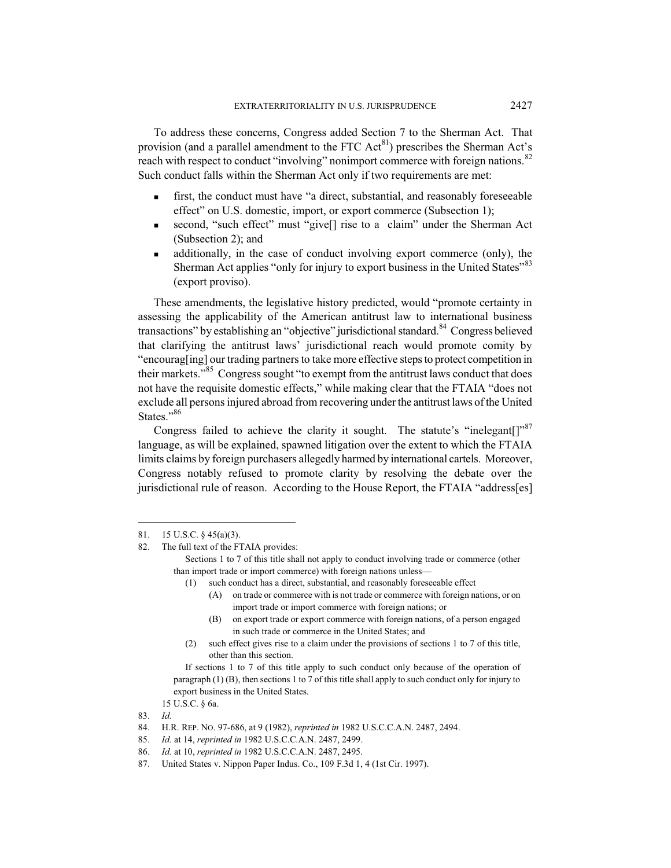To address these concerns, Congress added Section 7 to the Sherman Act. That provision (and a parallel amendment to the FTC  $Act^{81}$ ) prescribes the Sherman Act's reach with respect to conduct "involving" nonimport commerce with foreign nations.<sup>82</sup> Such conduct falls within the Sherman Act only if two requirements are met:

- first, the conduct must have "a direct, substantial, and reasonably foreseeable effect" on U.S. domestic, import, or export commerce (Subsection 1);
- second, "such effect" must "give[] rise to a claim" under the Sherman Act (Subsection 2); and
- additionally, in the case of conduct involving export commerce (only), the Sherman Act applies "only for injury to export business in the United States"<sup>83</sup> (export proviso).

These amendments, the legislative history predicted, would "promote certainty in assessing the applicability of the American antitrust law to international business transactions" by establishing an "objective" jurisdictional standard.<sup>84</sup> Congress believed that clarifying the antitrust laws' jurisdictional reach would promote comity by "encourag[ing] our trading partners to take more effective steps to protect competition in their markets."<sup>85</sup> Congress sought "to exempt from the antitrust laws conduct that does not have the requisite domestic effects," while making clear that the FTAIA "does not exclude all persons injured abroad from recovering under the antitrust laws of the United States."<sup>86</sup>

Congress failed to achieve the clarity it sought. The statute's "inelegant $[$ "<sup>87</sup> language, as will be explained, spawned litigation over the extent to which the FTAIA limits claims by foreign purchasers allegedly harmed by international cartels. Moreover, Congress notably refused to promote clarity by resolving the debate over the jurisdictional rule of reason. According to the House Report, the FTAIA "address[es]

- (A) on trade or commerce with is not trade or commerce with foreign nations, or on import trade or import commerce with foreign nations; or
- (B) on export trade or export commerce with foreign nations, of a person engaged in such trade or commerce in the United States; and
- (2) such effect gives rise to a claim under the provisions of sections 1 to 7 of this title, other than this section.

<sup>81. 15</sup> U.S.C. § 45(a)(3).

<sup>82.</sup> The full text of the FTAIA provides:

Sections 1 to 7 of this title shall not apply to conduct involving trade or commerce (other than import trade or import commerce) with foreign nations unless—

<sup>(1)</sup> such conduct has a direct, substantial, and reasonably foreseeable effect

If sections 1 to 7 of this title apply to such conduct only because of the operation of paragraph (1) (B), then sections 1 to 7 of this title shall apply to such conduct only for injury to export business in the United States.

<sup>15</sup> U.S.C. § 6a.

<sup>83.</sup> *Id.*

<sup>84.</sup> H.R. REP. NO. 97-686, at 9 (1982), *reprinted in* 1982 U.S.C.C.A.N. 2487, 2494.

<sup>85.</sup> *Id.* at 14, *reprinted in* 1982 U.S.C.C.A.N. 2487, 2499.

<sup>86.</sup> *Id.* at 10, *reprinted in* 1982 U.S.C.C.A.N. 2487, 2495.

<sup>87.</sup> United States v. Nippon Paper Indus. Co., 109 F.3d 1, 4 (1st Cir. 1997).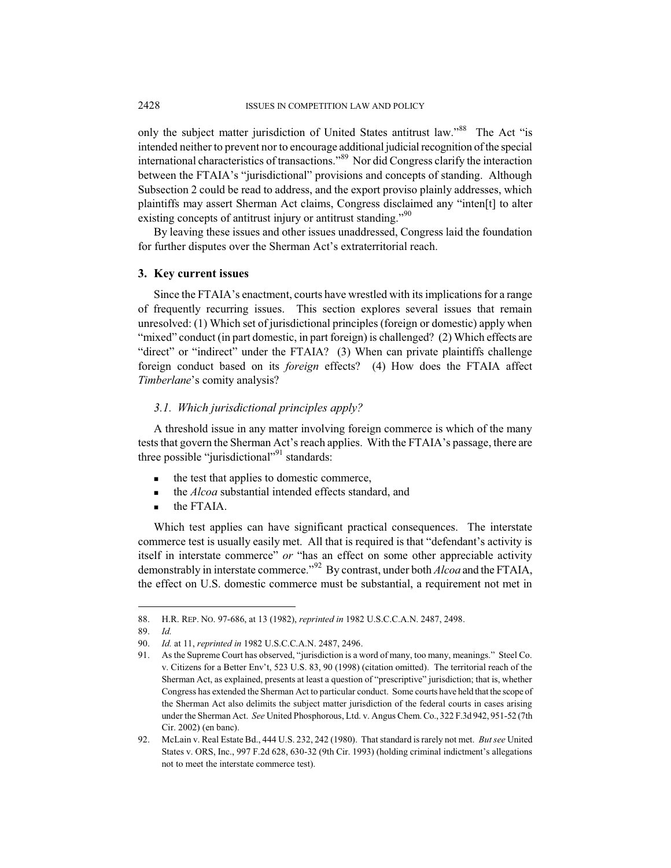only the subject matter jurisdiction of United States antitrust law."<sup>88</sup> The Act "is intended neither to prevent nor to encourage additional judicial recognition ofthe special international characteristics of transactions."<sup>89</sup> Nor did Congress clarify the interaction between the FTAIA's "jurisdictional" provisions and concepts of standing. Although Subsection 2 could be read to address, and the export proviso plainly addresses, which plaintiffs may assert Sherman Act claims, Congress disclaimed any "inten[t] to alter existing concepts of antitrust injury or antitrust standing."<sup>90</sup>

By leaving these issues and other issues unaddressed, Congress laid the foundation for further disputes over the Sherman Act's extraterritorial reach.

#### **3. Key current issues**

Since the FTAIA's enactment, courts have wrestled with its implications for a range of frequently recurring issues. This section explores several issues that remain unresolved: (1) Which set of jurisdictional principles (foreign or domestic) apply when "mixed" conduct (in part domestic, in part foreign) is challenged? (2) Which effects are "direct" or "indirect" under the FTAIA? (3) When can private plaintiffs challenge foreign conduct based on its *foreign* effects? (4) How does the FTAIA affect *Timberlane*'s comity analysis?

#### *3.1. Which jurisdictional principles apply?*

A threshold issue in any matter involving foreign commerce is which of the many tests that govern the Sherman Act's reach applies. With the FTAIA's passage, there are three possible "jurisdictional"<sup>91</sup> standards:

- the test that applies to domestic commerce,
- **the** *Alcoa* substantial intended effects standard, and
- **the FTAIA.**

Which test applies can have significant practical consequences. The interstate commerce test is usually easily met. All that is required is that "defendant's activity is itself in interstate commerce" *or* "has an effect on some other appreciable activity demonstrably in interstate commerce."<sup>92</sup> By contrast, under both *Alcoa* and the FTAIA, the effect on U.S. domestic commerce must be substantial, a requirement not met in

<sup>88.</sup> H.R. REP. NO. 97-686, at 13 (1982), *reprinted in* 1982 U.S.C.C.A.N. 2487, 2498.

<sup>89.</sup> *Id.*

<sup>90.</sup> *Id.* at 11, *reprinted in* 1982 U.S.C.C.A.N. 2487, 2496.

<sup>91.</sup> As the Supreme Court has observed, "jurisdiction is a word of many, too many, meanings." Steel Co. v. Citizens for a Better Env't, 523 U.S. 83, 90 (1998) (citation omitted). The territorial reach of the Sherman Act, as explained, presents at least a question of "prescriptive" jurisdiction; that is, whether Congress has extended the Sherman Act to particular conduct. Some courts have held that the scope of the Sherman Act also delimits the subject matter jurisdiction of the federal courts in cases arising under the Sherman Act. *See* United Phosphorous, Ltd. v. Angus Chem. Co., 322 F.3d 942, 951-52 (7th Cir. 2002) (en banc).

<sup>92.</sup> McLain v. Real Estate Bd., 444 U.S. 232, 242 (1980). That standard is rarely not met. *But see* United States v. ORS, Inc., 997 F.2d 628, 630-32 (9th Cir. 1993) (holding criminal indictment's allegations not to meet the interstate commerce test).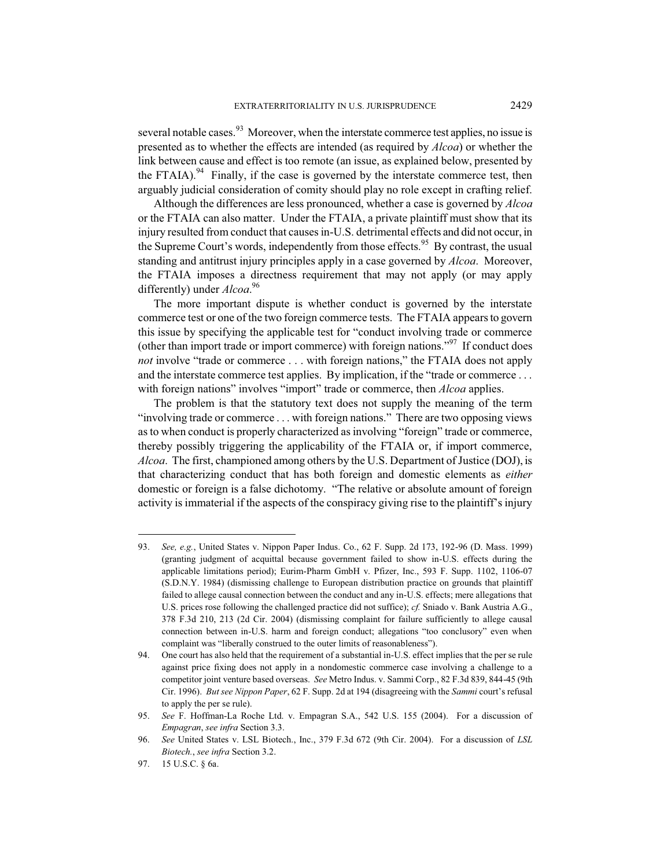several notable cases.  $93$  Moreover, when the interstate commerce test applies, no issue is presented as to whether the effects are intended (as required by *Alcoa*) or whether the link between cause and effect is too remote (an issue, as explained below, presented by the FTAIA).<sup>94</sup> Finally, if the case is governed by the interstate commerce test, then arguably judicial consideration of comity should play no role except in crafting relief.

Although the differences are less pronounced, whether a case is governed by *Alcoa* or the FTAIA can also matter. Under the FTAIA, a private plaintiff must show that its injury resulted from conduct that causes in-U.S. detrimental effects and did not occur, in the Supreme Court's words, independently from those effects.<sup>95</sup> By contrast, the usual standing and antitrust injury principles apply in a case governed by *Alcoa*. Moreover, the FTAIA imposes a directness requirement that may not apply (or may apply differently) under *Alcoa*. 96

The more important dispute is whether conduct is governed by the interstate commerce test or one of the two foreign commerce tests. The FTAIA appears to govern this issue by specifying the applicable test for "conduct involving trade or commerce (other than import trade or import commerce) with foreign nations.<sup> $\mathcal{P}^{\gamma}$ </sup> If conduct does *not* involve "trade or commerce . . . with foreign nations," the FTAIA does not apply and the interstate commerce test applies. By implication, if the "trade or commerce ... with foreign nations" involves "import" trade or commerce, then *Alcoa* applies.

The problem is that the statutory text does not supply the meaning of the term "involving trade or commerce . . . with foreign nations." There are two opposing views as to when conduct is properly characterized as involving "foreign" trade or commerce, thereby possibly triggering the applicability of the FTAIA or, if import commerce, *Alcoa*. The first, championed among others by the U.S. Department of Justice (DOJ), is that characterizing conduct that has both foreign and domestic elements as *either* domestic or foreign is a false dichotomy. "The relative or absolute amount of foreign activity is immaterial if the aspects of the conspiracy giving rise to the plaintiff's injury

<sup>93.</sup> *See, e.g.*, United States v. Nippon Paper Indus. Co., 62 F. Supp. 2d 173, 192-96 (D. Mass. 1999) (granting judgment of acquittal because government failed to show in-U.S. effects during the applicable limitations period); Eurim-Pharm GmbH v. Pfizer, Inc., 593 F. Supp. 1102, 1106-07 (S.D.N.Y. 1984) (dismissing challenge to European distribution practice on grounds that plaintiff failed to allege causal connection between the conduct and any in-U.S. effects; mere allegations that U.S. prices rose following the challenged practice did not suffice); *cf.* Sniado v. Bank Austria A.G., 378 F.3d 210, 213 (2d Cir. 2004) (dismissing complaint for failure sufficiently to allege causal connection between in-U.S. harm and foreign conduct; allegations "too conclusory" even when complaint was "liberally construed to the outer limits of reasonableness").

<sup>94.</sup> One court has also held that the requirement of a substantial in-U.S. effect implies that the per se rule against price fixing does not apply in a nondomestic commerce case involving a challenge to a competitor joint venture based overseas. *See* Metro Indus. v. Sammi Corp., 82 F.3d 839, 844-45 (9th Cir. 1996). *But see Nippon Paper*, 62 F. Supp. 2d at 194 (disagreeing with the *Sammi* court's refusal to apply the per se rule).

<sup>95.</sup> *See* F. Hoffman-La Roche Ltd. v. Empagran S.A., 542 U.S. 155 (2004). For a discussion of *Empagran*, *see infra* Section 3.3.

<sup>96.</sup> *See* United States v. LSL Biotech., Inc., 379 F.3d 672 (9th Cir. 2004). For a discussion of *LSL Biotech.*, *see infra* Section 3.2.

<sup>97. 15</sup> U.S.C. § 6a.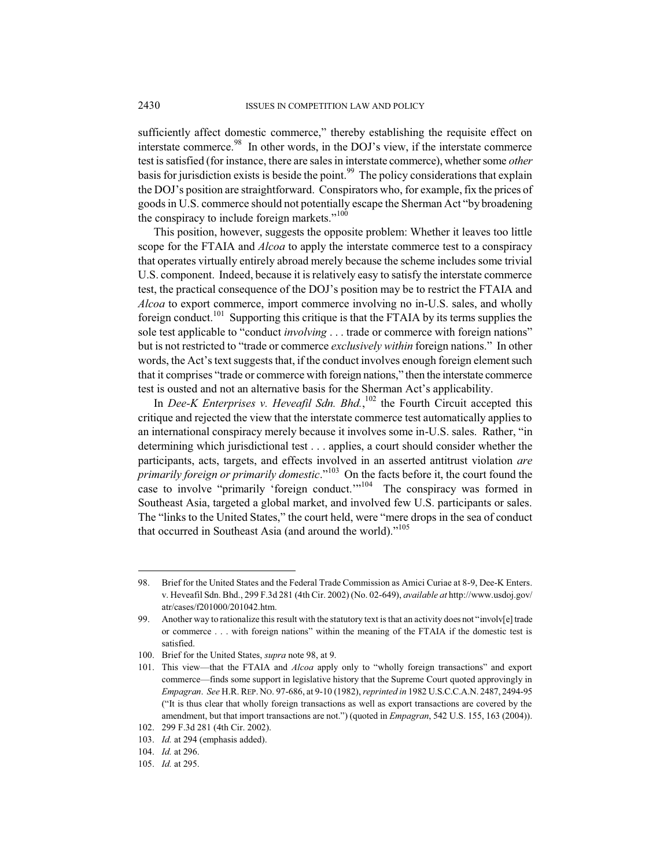sufficiently affect domestic commerce," thereby establishing the requisite effect on interstate commerce.<sup>98</sup> In other words, in the DOJ's view, if the interstate commerce test is satisfied (for instance, there are sales in interstate commerce), whether some *other* basis for jurisdiction exists is beside the point.<sup>99</sup> The policy considerations that explain the DOJ's position are straightforward. Conspirators who, for example, fix the prices of goods in U.S. commerce should not potentially escape the Sherman Act "by broadening the conspiracy to include foreign markets."<sup>100</sup>

This position, however, suggests the opposite problem: Whether it leaves too little scope for the FTAIA and *Alcoa* to apply the interstate commerce test to a conspiracy that operates virtually entirely abroad merely because the scheme includes some trivial U.S. component. Indeed, because it is relatively easy to satisfy the interstate commerce test, the practical consequence of the DOJ's position may be to restrict the FTAIA and *Alcoa* to export commerce, import commerce involving no in-U.S. sales, and wholly foreign conduct.<sup>101</sup> Supporting this critique is that the FTAIA by its terms supplies the sole test applicable to "conduct *involving* . . . trade or commerce with foreign nations" but is not restricted to "trade or commerce *exclusively within* foreign nations." In other words, the Act's text suggests that, if the conduct involves enough foreign element such that it comprises "trade or commerce with foreign nations," then the interstate commerce test is ousted and not an alternative basis for the Sherman Act's applicability.

In *Dee-K Enterprises v. Heveafil Sdn. Bhd.*,<sup>102</sup> the Fourth Circuit accepted this critique and rejected the view that the interstate commerce test automatically applies to an international conspiracy merely because it involves some in-U.S. sales. Rather, "in determining which jurisdictional test . . . applies, a court should consider whether the participants, acts, targets, and effects involved in an asserted antitrust violation *are primarily foreign or primarily domestic*."<sup>103</sup> On the facts before it, the court found the case to involve "primarily 'foreign conduct."<sup>104</sup> The conspiracy was formed in Southeast Asia, targeted a global market, and involved few U.S. participants or sales. The "links to the United States," the court held, were "mere drops in the sea of conduct that occurred in Southeast Asia (and around the world)."<sup>105</sup>

<sup>98.</sup> Brief for the United States and the Federal Trade Commission as Amici Curiae at 8-9, Dee-K Enters. v. Heveafil Sdn. Bhd., 299 F.3d 281 (4th Cir. 2002) (No. 02-649), *available at* http://www.usdoj.gov/ atr/cases/f201000/201042.htm.

<sup>99.</sup> Another way to rationalize this result with the statutory text is that an activity does not "involv[e] trade or commerce . . . with foreign nations" within the meaning of the FTAIA if the domestic test is satisfied.

<sup>100.</sup> Brief for the United States, *supra* note 98, at 9.

<sup>101.</sup> This view—that the FTAIA and *Alcoa* apply only to "wholly foreign transactions" and export commerce—finds some support in legislative history that the Supreme Court quoted approvingly in *Empagran*. *See* H.R. REP. NO. 97-686, at 9-10 (1982),*reprinted in* 1982 U.S.C.C.A.N. 2487, 2494-95 ("It is thus clear that wholly foreign transactions as well as export transactions are covered by the amendment, but that import transactions are not.") (quoted in *Empagran*, 542 U.S. 155, 163 (2004)). 102. 299 F.3d 281 (4th Cir. 2002).

<sup>103.</sup> *Id.* at 294 (emphasis added).

<sup>104.</sup> *Id.* at 296.

<sup>105.</sup> *Id.* at 295.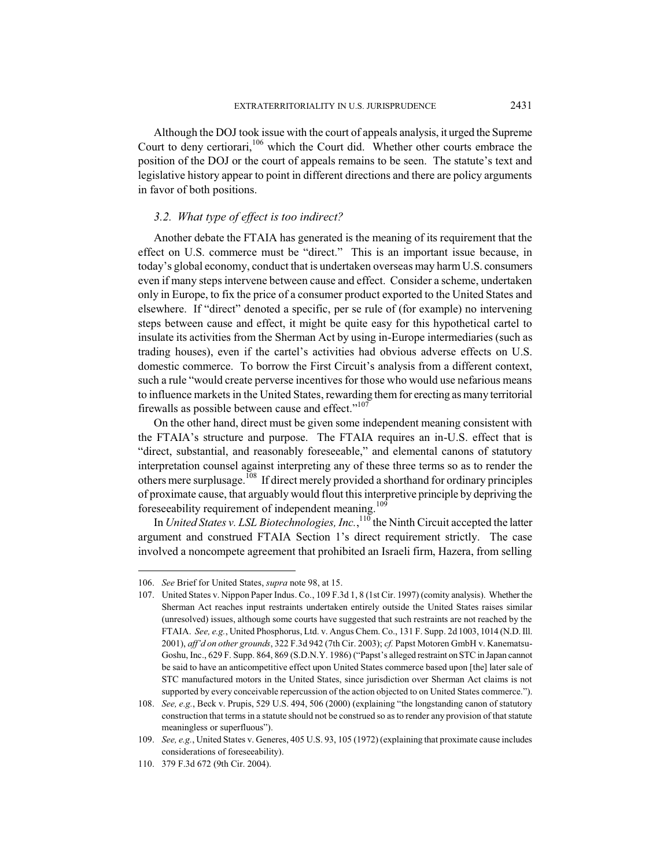Although the DOJ took issue with the court of appeals analysis, it urged the Supreme Court to deny certiorari,<sup>106</sup> which the Court did. Whether other courts embrace the position of the DOJ or the court of appeals remains to be seen. The statute's text and legislative history appear to point in different directions and there are policy arguments in favor of both positions.

# *3.2. What type of effect is too indirect?*

Another debate the FTAIA has generated is the meaning of its requirement that the effect on U.S. commerce must be "direct." This is an important issue because, in today's global economy, conduct that is undertaken overseas may harm U.S. consumers even if many steps intervene between cause and effect. Consider a scheme, undertaken only in Europe, to fix the price of a consumer product exported to the United States and elsewhere. If "direct" denoted a specific, per se rule of (for example) no intervening steps between cause and effect, it might be quite easy for this hypothetical cartel to insulate its activities from the Sherman Act by using in-Europe intermediaries (such as trading houses), even if the cartel's activities had obvious adverse effects on U.S. domestic commerce. To borrow the First Circuit's analysis from a different context, such a rule "would create perverse incentives for those who would use nefarious means to influence markets in the United States, rewarding them for erecting as many territorial firewalls as possible between cause and effect."<sup>107</sup>

On the other hand, direct must be given some independent meaning consistent with the FTAIA's structure and purpose. The FTAIA requires an in-U.S. effect that is "direct, substantial, and reasonably foreseeable," and elemental canons of statutory interpretation counsel against interpreting any of these three terms so as to render the others mere surplusage.<sup>108</sup> If direct merely provided a shorthand for ordinary principles of proximate cause, that arguably would flout this interpretive principle by depriving the foreseeability requirement of independent meaning.<sup>109</sup>

In *United States v. LSL Biotechnologies, Inc.*, <sup>110</sup> the Ninth Circuit accepted the latter argument and construed FTAIA Section 1's direct requirement strictly. The case involved a noncompete agreement that prohibited an Israeli firm, Hazera, from selling

<sup>106.</sup> *See* Brief for United States, *supra* note 98, at 15.

<sup>107.</sup> United States v. Nippon Paper Indus. Co., 109 F.3d 1, 8 (1st Cir. 1997) (comity analysis). Whether the Sherman Act reaches input restraints undertaken entirely outside the United States raises similar (unresolved) issues, although some courts have suggested that such restraints are not reached by the FTAIA. *See, e.g.*, United Phosphorus, Ltd. v. Angus Chem. Co., 131 F. Supp. 2d 1003, 1014 (N.D. Ill. 2001), *aff'd on other grounds*, 322 F.3d 942 (7th Cir. 2003); *cf.* Papst Motoren GmbH v. Kanematsu-Goshu, Inc., 629 F. Supp. 864, 869 (S.D.N.Y. 1986) ("Papst's alleged restraint on STC in Japan cannot be said to have an anticompetitive effect upon United States commerce based upon [the] later sale of STC manufactured motors in the United States, since jurisdiction over Sherman Act claims is not supported by every conceivable repercussion of the action objected to on United States commerce.").

<sup>108.</sup> *See, e.g.*, Beck v. Prupis, 529 U.S. 494, 506 (2000) (explaining "the longstanding canon of statutory construction that terms in a statute should not be construed so as to render any provision of that statute meaningless or superfluous").

<sup>109.</sup> *See, e.g.*, United States v. Generes, 405 U.S. 93, 105 (1972) (explaining that proximate cause includes considerations of foreseeability).

<sup>110. 379</sup> F.3d 672 (9th Cir. 2004).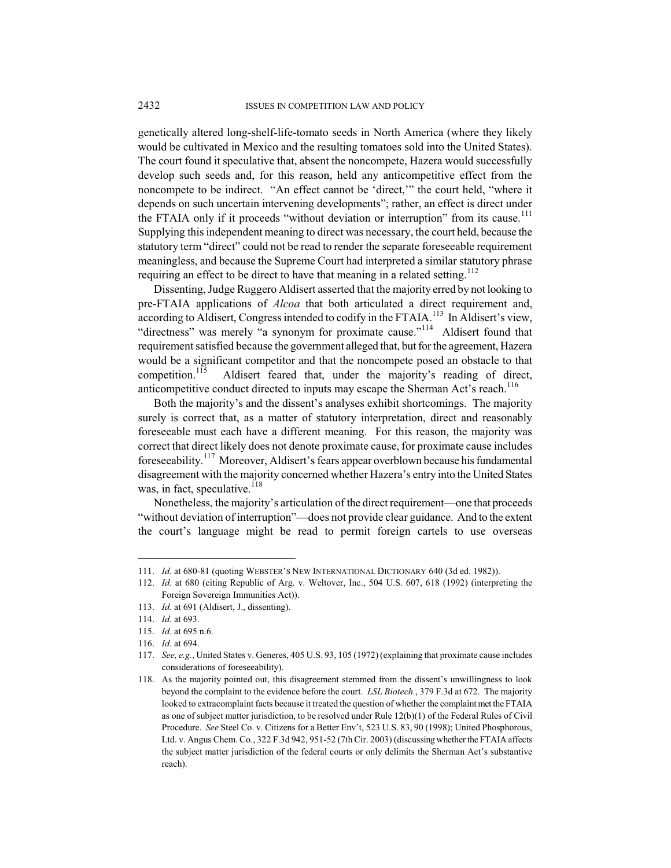genetically altered long-shelf-life-tomato seeds in North America (where they likely would be cultivated in Mexico and the resulting tomatoes sold into the United States). The court found it speculative that, absent the noncompete, Hazera would successfully develop such seeds and, for this reason, held any anticompetitive effect from the noncompete to be indirect. "An effect cannot be 'direct,'" the court held, "where it depends on such uncertain intervening developments"; rather, an effect is direct under the FTAIA only if it proceeds "without deviation or interruption" from its cause.<sup>111</sup> Supplying this independent meaning to direct was necessary, the court held, because the statutory term "direct" could not be read to render the separate foreseeable requirement meaningless, and because the Supreme Court had interpreted a similar statutory phrase requiring an effect to be direct to have that meaning in a related setting.<sup>112</sup>

Dissenting, Judge Ruggero Aldisert asserted that the majority erred by not looking to pre-FTAIA applications of *Alcoa* that both articulated a direct requirement and, according to Aldisert, Congress intended to codify in the FTAIA.<sup>113</sup> In Aldisert's view, "directness" was merely "a synonym for proximate cause."<sup>114</sup> Aldisert found that requirement satisfied because the government alleged that, but for the agreement, Hazera would be a significant competitor and that the noncompete posed an obstacle to that competition.<sup>115</sup> Aldisert feared that, under the majority's reading of direct, anticompetitive conduct directed to inputs may escape the Sherman Act's reach.<sup>116</sup>

Both the majority's and the dissent's analyses exhibit shortcomings. The majority surely is correct that, as a matter of statutory interpretation, direct and reasonably foreseeable must each have a different meaning. For this reason, the majority was correct that direct likely does not denote proximate cause, for proximate cause includes foreseeability.<sup>117</sup> Moreover, Aldisert's fears appear overblown because his fundamental disagreement with the majority concerned whether Hazera's entry into the United States was, in fact, speculative. $118$ 

Nonetheless, the majority's articulation of the direct requirement—one that proceeds "without deviation of interruption"—does not provide clear guidance. And to the extent the court's language might be read to permit foreign cartels to use overseas

<sup>111.</sup> *Id.* at 680-81 (quoting WEBSTER'S NEW INTERNATIONAL DICTIONARY 640 (3d ed. 1982)).

<sup>112.</sup> *Id.* at 680 (citing Republic of Arg. v. Weltover, Inc., 504 U.S. 607, 618 (1992) (interpreting the Foreign Sovereign Immunities Act)).

<sup>113.</sup> *Id.* at 691 (Aldisert, J., dissenting).

<sup>114.</sup> *Id.* at 693.

<sup>115.</sup> *Id.* at 695 n.6.

<sup>116.</sup> *Id.* at 694.

<sup>117.</sup> *See, e.g.*, United States v. Generes, 405 U.S. 93, 105 (1972) (explaining that proximate cause includes considerations of foreseeability).

<sup>118.</sup> As the majority pointed out, this disagreement stemmed from the dissent's unwillingness to look beyond the complaint to the evidence before the court. *LSL Biotech.*, 379 F.3d at 672. The majority looked to extracomplaint facts because it treated the question of whether the complaint met the FTAIA as one of subject matter jurisdiction, to be resolved under Rule 12(b)(1) of the Federal Rules of Civil Procedure. *See* Steel Co. v. Citizens for a Better Env't, 523 U.S. 83, 90 (1998); United Phosphorous, Ltd. v. Angus Chem. Co., 322 F.3d 942, 951-52 (7th Cir. 2003) (discussing whether the FTAIA affects the subject matter jurisdiction of the federal courts or only delimits the Sherman Act's substantive reach).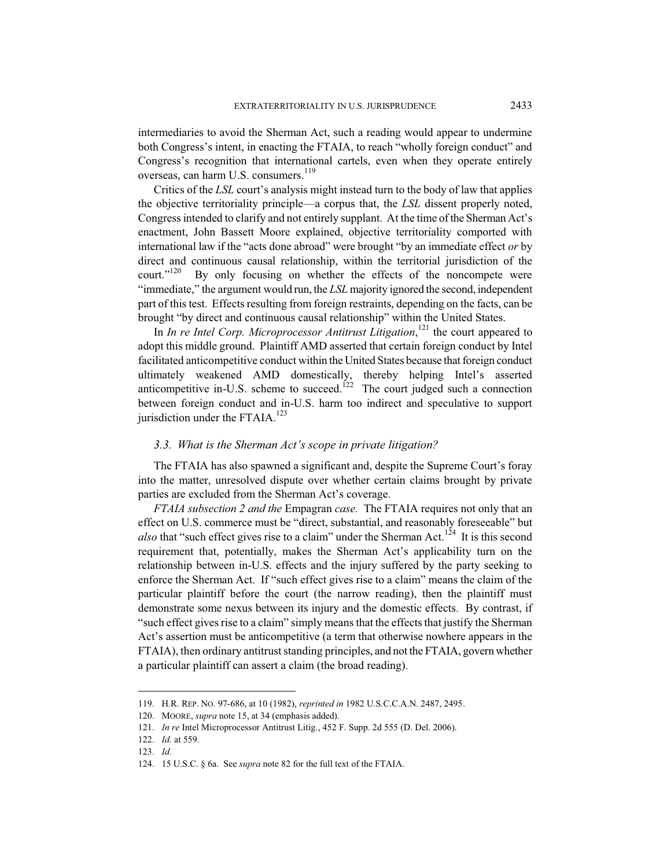intermediaries to avoid the Sherman Act, such a reading would appear to undermine both Congress's intent, in enacting the FTAIA, to reach "wholly foreign conduct" and Congress's recognition that international cartels, even when they operate entirely overseas, can harm U.S. consumers.<sup>119</sup>

Critics of the *LSL* court's analysis might instead turn to the body of law that applies the objective territoriality principle—a corpus that, the *LSL* dissent properly noted, Congress intended to clarify and not entirely supplant. At the time of the Sherman Act's enactment, John Bassett Moore explained, objective territoriality comported with international law if the "acts done abroad" were brought "by an immediate effect *or* by direct and continuous causal relationship, within the territorial jurisdiction of the court."<sup>120</sup> By only focusing on whether the effects of the noncompete were By only focusing on whether the effects of the noncompete were "immediate," the argument would run, the *LSL* majority ignored the second, independent part of this test. Effects resulting from foreign restraints, depending on the facts, can be brought "by direct and continuous causal relationship" within the United States.

In *In re Intel Corp. Microprocessor Antitrust Litigation*, <sup>121</sup> the court appeared to adopt this middle ground. Plaintiff AMD asserted that certain foreign conduct by Intel facilitated anticompetitive conduct within the United States because that foreign conduct ultimately weakened AMD domestically, thereby helping Intel's asserted anticompetitive in-U.S. scheme to succeed.<sup>122</sup> The court judged such a connection between foreign conduct and in-U.S. harm too indirect and speculative to support jurisdiction under the FTAIA.<sup>123</sup>

## *3.3. What is the Sherman Act's scope in private litigation?*

The FTAIA has also spawned a significant and, despite the Supreme Court's foray into the matter, unresolved dispute over whether certain claims brought by private parties are excluded from the Sherman Act's coverage.

*FTAIA subsection 2 and the* Empagran *case.* The FTAIA requires not only that an effect on U.S. commerce must be "direct, substantial, and reasonably foreseeable" but *also* that "such effect gives rise to a claim" under the Sherman Act.<sup>124</sup> It is this second requirement that, potentially, makes the Sherman Act's applicability turn on the relationship between in-U.S. effects and the injury suffered by the party seeking to enforce the Sherman Act. If "such effect gives rise to a claim" means the claim of the particular plaintiff before the court (the narrow reading), then the plaintiff must demonstrate some nexus between its injury and the domestic effects. By contrast, if "such effect gives rise to a claim" simply means that the effects that justify the Sherman Act's assertion must be anticompetitive (a term that otherwise nowhere appears in the FTAIA), then ordinary antitrust standing principles, and not the FTAIA, govern whether a particular plaintiff can assert a claim (the broad reading).

<sup>119.</sup> H.R. REP. NO. 97-686, at 10 (1982), *reprinted in* 1982 U.S.C.C.A.N. 2487, 2495.

<sup>120.</sup> MOORE, *supra* note 15, at 34 (emphasis added).

<sup>121.</sup> *In re* Intel Microprocessor Antitrust Litig., 452 F. Supp. 2d 555 (D. Del. 2006).

<sup>122.</sup> *Id.* at 559.

<sup>123.</sup> *Id.*

<sup>124. 15</sup> U.S.C. § 6a. See *supra* note 82 for the full text of the FTAIA.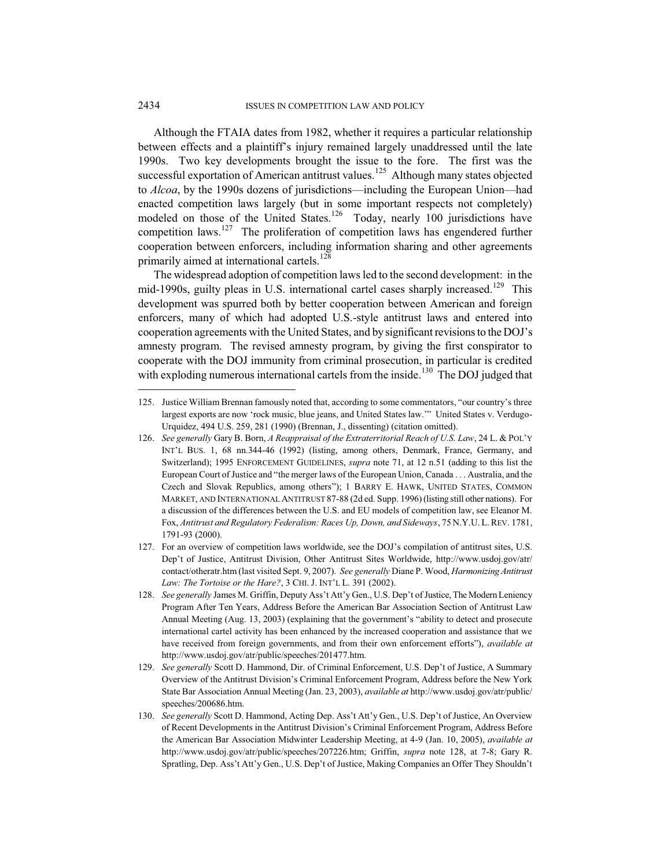Although the FTAIA dates from 1982, whether it requires a particular relationship between effects and a plaintiff's injury remained largely unaddressed until the late 1990s. Two key developments brought the issue to the fore. The first was the successful exportation of American antitrust values.<sup>125</sup> Although many states objected to *Alcoa*, by the 1990s dozens of jurisdictions—including the European Union—had enacted competition laws largely (but in some important respects not completely) modeled on those of the United States.<sup>126</sup> Today, nearly 100 jurisdictions have competition laws. $127$  The proliferation of competition laws has engendered further cooperation between enforcers, including information sharing and other agreements primarily aimed at international cartels.<sup>128</sup>

The widespread adoption of competition laws led to the second development: in the mid-1990s, guilty pleas in U.S. international cartel cases sharply increased.<sup>129</sup> This development was spurred both by better cooperation between American and foreign enforcers, many of which had adopted U.S.-style antitrust laws and entered into cooperation agreements with the United States, and by significant revisions to the DOJ's amnesty program. The revised amnesty program, by giving the first conspirator to cooperate with the DOJ immunity from criminal prosecution, in particular is credited with exploding numerous international cartels from the inside.<sup>130</sup> The DOJ judged that

<sup>125.</sup> Justice William Brennan famously noted that, according to some commentators, "our country's three largest exports are now 'rock music, blue jeans, and United States law.'" United States v. Verdugo-Urquidez, 494 U.S. 259, 281 (1990) (Brennan, J., dissenting) (citation omitted).

<sup>126.</sup> *See generally* Gary B. Born, *A Reappraisal of the Extraterritorial Reach of U.S. Law*, 24 L. & POL'Y INT'L BUS. 1, 68 nn.344-46 (1992) (listing, among others, Denmark, France, Germany, and Switzerland); 1995 ENFORCEMENT GUIDELINES, *supra* note 71, at 12 n.51 (adding to this list the European Court of Justice and "the merger laws of the European Union, Canada . . . Australia, and the Czech and Slovak Republics, among others"); 1 BARRY E. HAWK, UNITED STATES, COMMON MARKET, AND INTERNATIONAL ANTITRUST 87-88 (2d ed. Supp. 1996) (listing still other nations). For a discussion of the differences between the U.S. and EU models of competition law, see Eleanor M. Fox, *Antitrust and Regulatory Federalism: Races Up, Down, and Sideways*, 75 N.Y.U. L. REV. 1781, 1791-93 (2000).

<sup>127.</sup> For an overview of competition laws worldwide, see the DOJ's compilation of antitrust sites, U.S. Dep't of Justice, Antitrust Division, Other Antitrust Sites Worldwide, http://www.usdoj.gov/atr/ contact/otheratr.htm (last visited Sept. 9, 2007). *See generally* Diane P. Wood, *Harmonizing Antitrust Law: The Tortoise or the Hare?*, 3 CHI. J. INT'L L. 391 (2002).

<sup>128.</sup> *See generally* James M. Griffin, Deputy Ass't Att'y Gen., U.S. Dep't of Justice, The Modern Leniency Program After Ten Years, Address Before the American Bar Association Section of Antitrust Law Annual Meeting (Aug. 13, 2003) (explaining that the government's "ability to detect and prosecute international cartel activity has been enhanced by the increased cooperation and assistance that we have received from foreign governments, and from their own enforcement efforts"), *available at* http://www.usdoj.gov/atr/public/speeches/201477.htm.

<sup>129.</sup> *See generally* Scott D. Hammond, Dir. of Criminal Enforcement, U.S. Dep't of Justice, A Summary Overview of the Antitrust Division's Criminal Enforcement Program, Address before the New York State Bar Association Annual Meeting (Jan. 23, 2003), *available at* http://www.usdoj.gov/atr/public/ speeches/200686.htm.

<sup>130.</sup> *See generally* Scott D. Hammond, Acting Dep. Ass't Att'y Gen., U.S. Dep't of Justice, An Overview of Recent Developments in the Antitrust Division's Criminal Enforcement Program, Address Before the American Bar Association Midwinter Leadership Meeting, at 4-9 (Jan. 10, 2005), *available at* http://www.usdoj.gov/atr/public/speeches/207226.htm; Griffin, *supra* note 128, at 7-8; Gary R. Spratling, Dep. Ass't Att'y Gen., U.S. Dep't of Justice, Making Companies an Offer They Shouldn't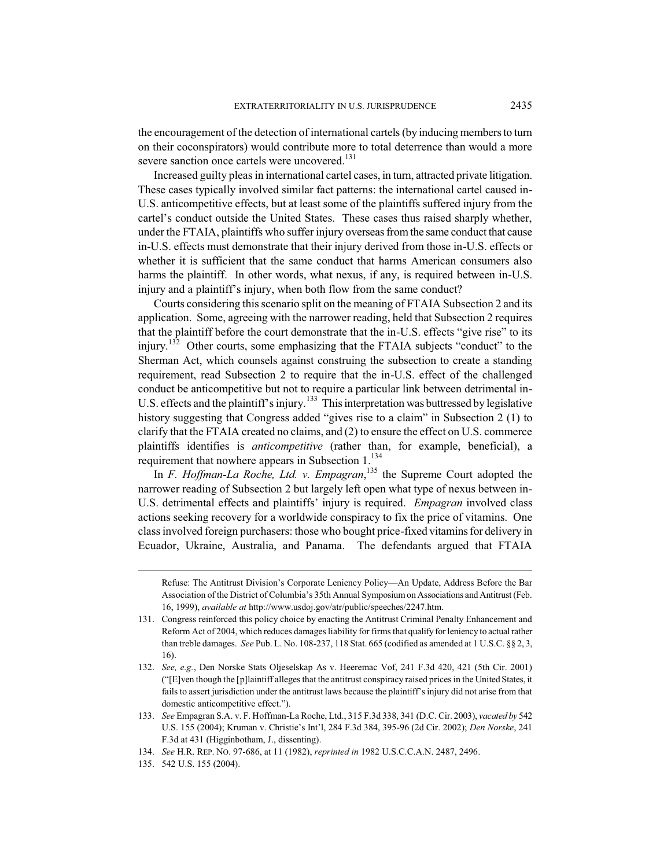the encouragement of the detection of international cartels (byinducing members to turn on their coconspirators) would contribute more to total deterrence than would a more severe sanction once cartels were uncovered.<sup>131</sup>

Increased guilty pleas in international cartel cases, in turn, attracted private litigation. These cases typically involved similar fact patterns: the international cartel caused in-U.S. anticompetitive effects, but at least some of the plaintiffs suffered injury from the cartel's conduct outside the United States. These cases thus raised sharply whether, under the FTAIA, plaintiffs who suffer injury overseas from the same conduct that cause in-U.S. effects must demonstrate that their injury derived from those in-U.S. effects or whether it is sufficient that the same conduct that harms American consumers also harms the plaintiff. In other words, what nexus, if any, is required between in-U.S. injury and a plaintiff's injury, when both flow from the same conduct?

Courts considering this scenario split on the meaning of FTAIA Subsection 2 and its application. Some, agreeing with the narrower reading, held that Subsection 2 requires that the plaintiff before the court demonstrate that the in-U.S. effects "give rise" to its injury.<sup>132</sup> Other courts, some emphasizing that the FTAIA subjects "conduct" to the Sherman Act, which counsels against construing the subsection to create a standing requirement, read Subsection 2 to require that the in-U.S. effect of the challenged conduct be anticompetitive but not to require a particular link between detrimental in-U.S. effects and the plaintiff's injury.<sup>133</sup> This interpretation was buttressed by legislative history suggesting that Congress added "gives rise to a claim" in Subsection 2 (1) to clarify that the FTAIA created no claims, and (2) to ensure the effect on U.S. commerce plaintiffs identifies is *anticompetitive* (rather than, for example, beneficial), a requirement that nowhere appears in Subsection 1.<sup>134</sup>

In *F. Hoffman-La Roche, Ltd. v. Empagran*, <sup>135</sup> the Supreme Court adopted the narrower reading of Subsection 2 but largely left open what type of nexus between in-U.S. detrimental effects and plaintiffs' injury is required. *Empagran* involved class actions seeking recovery for a worldwide conspiracy to fix the price of vitamins. One class involved foreign purchasers: those who bought price-fixed vitamins for delivery in Ecuador, Ukraine, Australia, and Panama. The defendants argued that FTAIA

- 132. *See, e.g.*, Den Norske Stats Oljeselskap As v. Heeremac Vof, 241 F.3d 420, 421 (5th Cir. 2001) ("[E]ven though the [p]laintiff alleges that the antitrust conspiracy raised prices in the United States, it fails to assert jurisdiction under the antitrust laws because the plaintiff's injury did not arise from that domestic anticompetitive effect.").
- 133. *See* Empagran S.A. v. F. Hoffman-La Roche, Ltd., 315 F.3d 338, 341 (D.C. Cir. 2003), *vacated by* 542 U.S. 155 (2004); Kruman v. Christie's Int'l, 284 F.3d 384, 395-96 (2d Cir. 2002); *Den Norske*, 241 F.3d at 431 (Higginbotham, J., dissenting).
- 134. *See* H.R. REP. NO. 97-686, at 11 (1982), *reprinted in* 1982 U.S.C.C.A.N. 2487, 2496.
- 135. 542 U.S. 155 (2004).

Refuse: The Antitrust Division's Corporate Leniency Policy—An Update, Address Before the Bar Association of the District of Columbia's 35th Annual Symposium on Associations and Antitrust (Feb. 16, 1999), *available at* http://www.usdoj.gov/atr/public/speeches/2247.htm.

<sup>131.</sup> Congress reinforced this policy choice by enacting the Antitrust Criminal Penalty Enhancement and Reform Act of 2004, which reduces damages liability for firms that qualify for leniencyto actual rather than treble damages. *See* Pub. L. No. 108-237, 118 Stat. 665 (codified as amended at 1 U.S.C. §§ 2, 3, 16).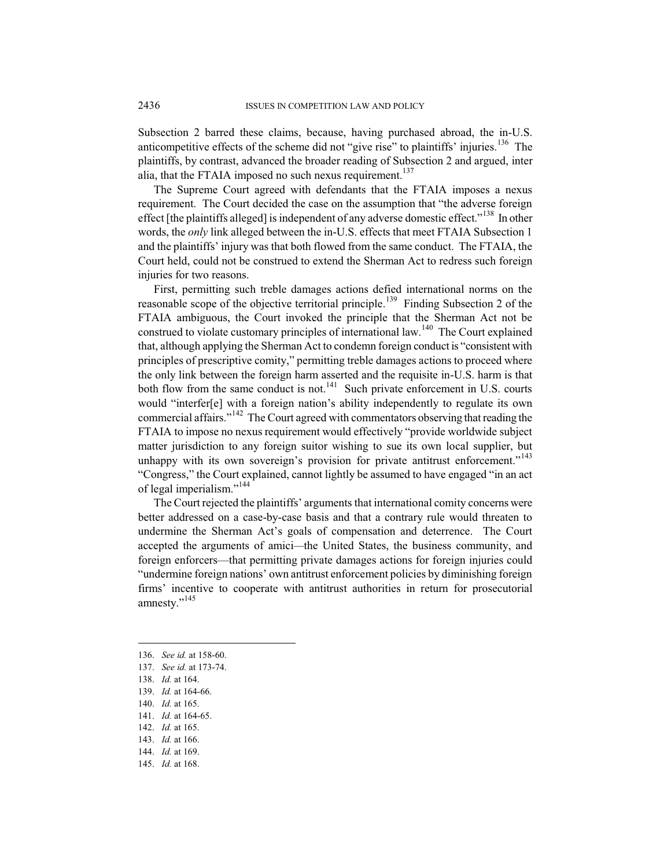Subsection 2 barred these claims, because, having purchased abroad, the in-U.S. anticompetitive effects of the scheme did not "give rise" to plaintiffs' injuries.<sup>136</sup> The plaintiffs, by contrast, advanced the broader reading of Subsection 2 and argued, inter alia, that the FTAIA imposed no such nexus requirement.<sup>137</sup>

The Supreme Court agreed with defendants that the FTAIA imposes a nexus requirement. The Court decided the case on the assumption that "the adverse foreign effect [the plaintiffs alleged] is independent of any adverse domestic effect."<sup>138</sup> In other words, the *only* link alleged between the in-U.S. effects that meet FTAIA Subsection 1 and the plaintiffs' injury was that both flowed from the same conduct. The FTAIA, the Court held, could not be construed to extend the Sherman Act to redress such foreign injuries for two reasons.

First, permitting such treble damages actions defied international norms on the reasonable scope of the objective territorial principle.<sup>139</sup> Finding Subsection 2 of the FTAIA ambiguous, the Court invoked the principle that the Sherman Act not be construed to violate customary principles of international law.<sup>140</sup> The Court explained that, although applying the Sherman Act to condemn foreign conduct is "consistent with principles of prescriptive comity," permitting treble damages actions to proceed where the only link between the foreign harm asserted and the requisite in-U.S. harm is that both flow from the same conduct is not.<sup>141</sup> Such private enforcement in U.S. courts would "interfer[e] with a foreign nation's ability independently to regulate its own commercial affairs."<sup>142</sup> The Court agreed with commentators observing that reading the FTAIA to impose no nexus requirement would effectively "provide worldwide subject matter jurisdiction to any foreign suitor wishing to sue its own local supplier, but unhappy with its own sovereign's provision for private antitrust enforcement."<sup>143</sup> "Congress," the Court explained, cannot lightly be assumed to have engaged "in an act of legal imperialism."<sup>144</sup>

The Court rejected the plaintiffs' arguments that international comity concerns were better addressed on a case-by-case basis and that a contrary rule would threaten to undermine the Sherman Act's goals of compensation and deterrence. The Court accepted the arguments of amici*—*the United States, the business community, and foreign enforcers—that permitting private damages actions for foreign injuries could "undermine foreign nations' own antitrust enforcement policies by diminishing foreign firms' incentive to cooperate with antitrust authorities in return for prosecutorial amnesty."<sup>145</sup>

- 140. *Id.* at 165.
- 141. *Id.* at 164-65.
- 142. *Id.* at 165.
- 143. *Id.* at 166.
- 144. *Id.* at 169.
- 145. *Id.* at 168.

<sup>136.</sup> *See id.* at 158-60.

<sup>137.</sup> *See id.* at 173-74.

<sup>138.</sup> *Id.* at 164.

<sup>139.</sup> *Id.* at 164-66.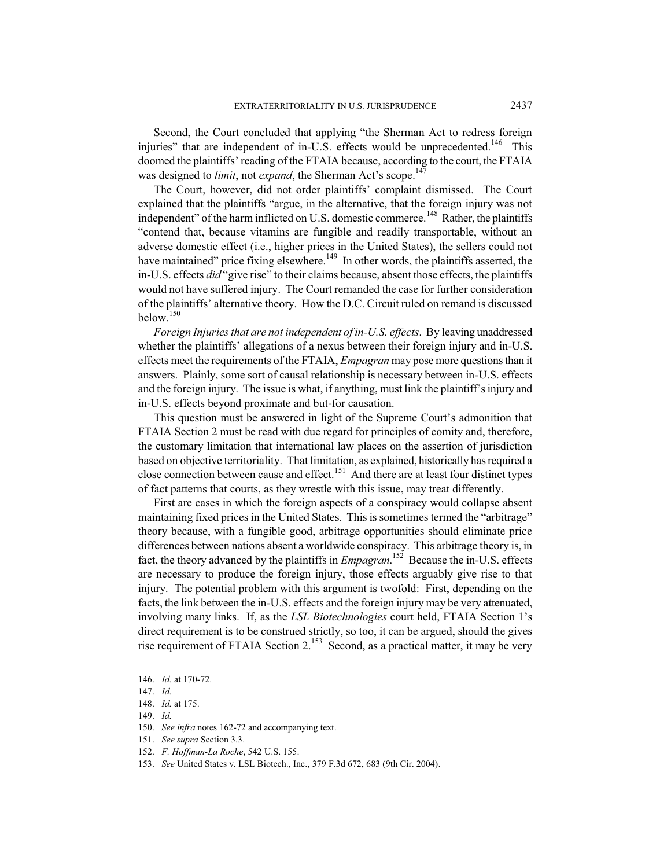Second, the Court concluded that applying "the Sherman Act to redress foreign injuries" that are independent of in-U.S. effects would be unprecedented.<sup>146</sup> This doomed the plaintiffs' reading of the FTAIA because, according to the court, the FTAIA was designed to *limit*, not *expand*, the Sherman Act's scope.<sup>147</sup>

The Court, however, did not order plaintiffs' complaint dismissed. The Court explained that the plaintiffs "argue, in the alternative, that the foreign injury was not independent" of the harm inflicted on U.S. domestic commerce.<sup>148</sup> Rather, the plaintiffs "contend that, because vitamins are fungible and readily transportable, without an adverse domestic effect (i.e., higher prices in the United States), the sellers could not have maintained" price fixing elsewhere.<sup>149</sup> In other words, the plaintiffs asserted, the in-U.S. effects *did* "give rise" to their claims because, absent those effects, the plaintiffs would not have suffered injury. The Court remanded the case for further consideration of the plaintiffs' alternative theory. How the D.C. Circuit ruled on remand is discussed below.<sup>150</sup>

*Foreign Injuries that are not independent of in-U.S. effects*. By leaving unaddressed whether the plaintiffs' allegations of a nexus between their foreign injury and in-U.S. effects meet the requirements of the FTAIA, *Empagran* may pose more questions than it answers. Plainly, some sort of causal relationship is necessary between in-U.S. effects and the foreign injury. The issue is what, if anything, must link the plaintiff's injury and in-U.S. effects beyond proximate and but-for causation.

This question must be answered in light of the Supreme Court's admonition that FTAIA Section 2 must be read with due regard for principles of comity and, therefore, the customary limitation that international law places on the assertion of jurisdiction based on objective territoriality. That limitation, as explained, historically has required a close connection between cause and effect.<sup>151</sup> And there are at least four distinct types of fact patterns that courts, as they wrestle with this issue, may treat differently.

First are cases in which the foreign aspects of a conspiracy would collapse absent maintaining fixed prices in the United States. This is sometimes termed the "arbitrage" theory because, with a fungible good, arbitrage opportunities should eliminate price differences between nations absent a worldwide conspiracy. This arbitrage theory is, in fact, the theory advanced by the plaintiffs in *Empagran*. <sup>152</sup> Because the in-U.S. effects are necessary to produce the foreign injury, those effects arguably give rise to that injury. The potential problem with this argument is twofold: First, depending on the facts, the link between the in-U.S. effects and the foreign injury may be very attenuated, involving many links. If, as the *LSL Biotechnologies* court held, FTAIA Section 1's direct requirement is to be construed strictly, so too, it can be argued, should the gives rise requirement of FTAIA Section 2.<sup>153</sup> Second, as a practical matter, it may be very

<sup>146.</sup> *Id.* at 170-72.

<sup>147.</sup> *Id.*

<sup>148.</sup> *Id.* at 175.

<sup>149.</sup> *Id.*

<sup>150.</sup> *See infra* notes 162-72 and accompanying text.

<sup>151.</sup> *See supra* Section 3.3.

<sup>152.</sup> *F. Hoffman-La Roche*, 542 U.S. 155.

<sup>153.</sup> *See* United States v. LSL Biotech., Inc., 379 F.3d 672, 683 (9th Cir. 2004).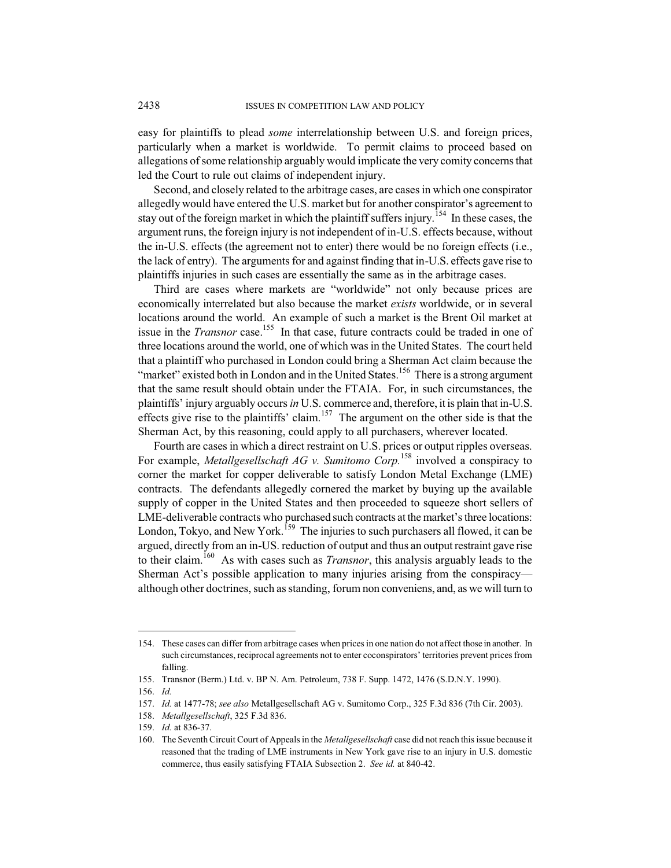easy for plaintiffs to plead *some* interrelationship between U.S. and foreign prices, particularly when a market is worldwide. To permit claims to proceed based on allegations of some relationship arguably would implicate the very comity concernsthat led the Court to rule out claims of independent injury.

Second, and closely related to the arbitrage cases, are cases in which one conspirator allegedly would have entered the U.S. market but for another conspirator's agreement to stay out of the foreign market in which the plaintiff suffers injury.<sup>154</sup> In these cases, the argument runs, the foreign injury is not independent of in-U.S. effects because, without the in-U.S. effects (the agreement not to enter) there would be no foreign effects (i.e., the lack of entry). The arguments for and against finding that in-U.S. effects gave rise to plaintiffs injuries in such cases are essentially the same as in the arbitrage cases.

Third are cases where markets are "worldwide" not only because prices are economically interrelated but also because the market *exists* worldwide, or in several locations around the world. An example of such a market is the Brent Oil market at issue in the *Transnor* case.<sup>155</sup> In that case, future contracts could be traded in one of three locations around the world, one of which was in the United States. The court held that a plaintiff who purchased in London could bring a Sherman Act claim because the "market" existed both in London and in the United States.<sup>156</sup> There is a strong argument that the same result should obtain under the FTAIA. For, in such circumstances, the plaintiffs' injury arguably occurs*in* U.S. commerce and, therefore, it is plain that in-U.S. effects give rise to the plaintiffs' claim.<sup>157</sup> The argument on the other side is that the Sherman Act, by this reasoning, could apply to all purchasers, wherever located.

Fourth are cases in which a direct restraint on U.S. prices or output ripples overseas. For example, *Metallgesellschaft AG v. Sumitomo Corp.*<sup>158</sup> involved a conspiracy to corner the market for copper deliverable to satisfy London Metal Exchange (LME) contracts. The defendants allegedly cornered the market by buying up the available supply of copper in the United States and then proceeded to squeeze short sellers of LME-deliverable contracts who purchased such contracts at the market's three locations: London, Tokyo, and New York.<sup>159</sup> The injuries to such purchasers all flowed, it can be argued, directly from an in-US. reduction of output and thus an output restraint gave rise to their claim.<sup>160</sup> As with cases such as *Transnor*, this analysis arguably leads to the Sherman Act's possible application to many injuries arising from the conspiracy although other doctrines, such as standing, forum non conveniens, and, as we will turn to

<sup>154.</sup> These cases can differ from arbitrage cases when pricesin one nation do not affect those in another. In such circumstances, reciprocal agreements not to enter coconspirators' territories prevent prices from falling.

<sup>155.</sup> Transnor (Berm.) Ltd. v. BP N. Am. Petroleum, 738 F. Supp. 1472, 1476 (S.D.N.Y. 1990).

<sup>156.</sup> *Id.*

<sup>157.</sup> *Id.* at 1477-78; *see also* Metallgesellschaft AG v. Sumitomo Corp., 325 F.3d 836 (7th Cir. 2003).

<sup>158.</sup> *Metallgesellschaft*, 325 F.3d 836.

<sup>159.</sup> *Id.* at 836-37.

<sup>160.</sup> The Seventh Circuit Court of Appeals in the *Metallgesellschaft* case did not reach this issue because it reasoned that the trading of LME instruments in New York gave rise to an injury in U.S. domestic commerce, thus easily satisfying FTAIA Subsection 2. *See id.* at 840-42.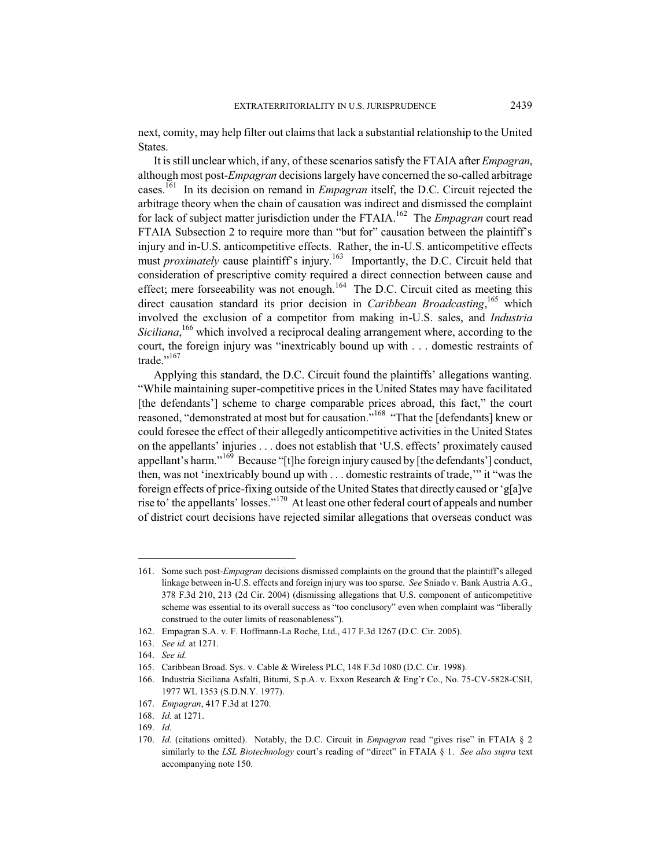next, comity, may help filter out claims that lack a substantial relationship to the United States.

It is still unclear which, if any, of these scenarios satisfy the FTAIA after *Empagran*, although most post-*Empagran* decisions largely have concerned the so-called arbitrage cases. <sup>161</sup> In its decision on remand in *Empagran* itself, the D.C. Circuit rejected the arbitrage theory when the chain of causation was indirect and dismissed the complaint for lack of subject matter jurisdiction under the FTAIA.<sup>162</sup> The *Empagran* court read FTAIA Subsection 2 to require more than "but for" causation between the plaintiff's injury and in-U.S. anticompetitive effects. Rather, the in-U.S. anticompetitive effects must *proximately* cause plaintiff's injury.<sup>163</sup> Importantly, the D.C. Circuit held that consideration of prescriptive comity required a direct connection between cause and effect; mere forseeability was not enough.<sup>164</sup> The D.C. Circuit cited as meeting this direct causation standard its prior decision in *Caribbean Broadcasting*, <sup>165</sup> which involved the exclusion of a competitor from making in-U.S. sales, and *Industria* Siciliana,<sup>166</sup> which involved a reciprocal dealing arrangement where, according to the court, the foreign injury was "inextricably bound up with . . . domestic restraints of trade."<sup>167</sup>

Applying this standard, the D.C. Circuit found the plaintiffs' allegations wanting. "While maintaining super-competitive prices in the United States may have facilitated [the defendants'] scheme to charge comparable prices abroad, this fact," the court reasoned, "demonstrated at most but for causation."<sup>168</sup> "That the [defendants] knew or could foresee the effect of their allegedly anticompetitive activities in the United States on the appellants' injuries . . . does not establish that 'U.S. effects' proximately caused appellant's harm."<sup>169</sup> Because "[t]he foreign injury caused by [the defendants'] conduct, then, was not 'inextricably bound up with . . . domestic restraints of trade,'" it "was the foreign effects of price-fixing outside of the United States that directly caused or'g[a]ve rise to' the appellants' losses."<sup>170</sup> At least one other federal court of appeals and number of district court decisions have rejected similar allegations that overseas conduct was

<sup>161.</sup> Some such post-*Empagran* decisions dismissed complaints on the ground that the plaintiff's alleged linkage between in-U.S. effects and foreign injury was too sparse. *See* Sniado v. Bank Austria A.G., 378 F.3d 210, 213 (2d Cir. 2004) (dismissing allegations that U.S. component of anticompetitive scheme was essential to its overall success as "too conclusory" even when complaint was "liberally construed to the outer limits of reasonableness").

<sup>162.</sup> Empagran S.A. v. F. Hoffmann-La Roche, Ltd., 417 F.3d 1267 (D.C. Cir. 2005).

<sup>163.</sup> *See id.* at 1271.

<sup>164.</sup> *See id.*

<sup>165.</sup> Caribbean Broad. Sys. v. Cable & Wireless PLC, 148 F.3d 1080 (D.C. Cir. 1998).

<sup>166.</sup> Industria Siciliana Asfalti, Bitumi, S.p.A. v. Exxon Research & Eng'r Co., No. 75-CV-5828-CSH, 1977 WL 1353 (S.D.N.Y. 1977).

<sup>167.</sup> *Empagran*, 417 F.3d at 1270.

<sup>168.</sup> *Id.* at 1271.

<sup>169.</sup> *Id.*

<sup>170.</sup> *Id.* (citations omitted). Notably, the D.C. Circuit in *Empagran* read "gives rise" in FTAIA § 2 similarly to the *LSL Biotechnology* court's reading of "direct" in FTAIA § 1. *See also supra* text accompanying note 150.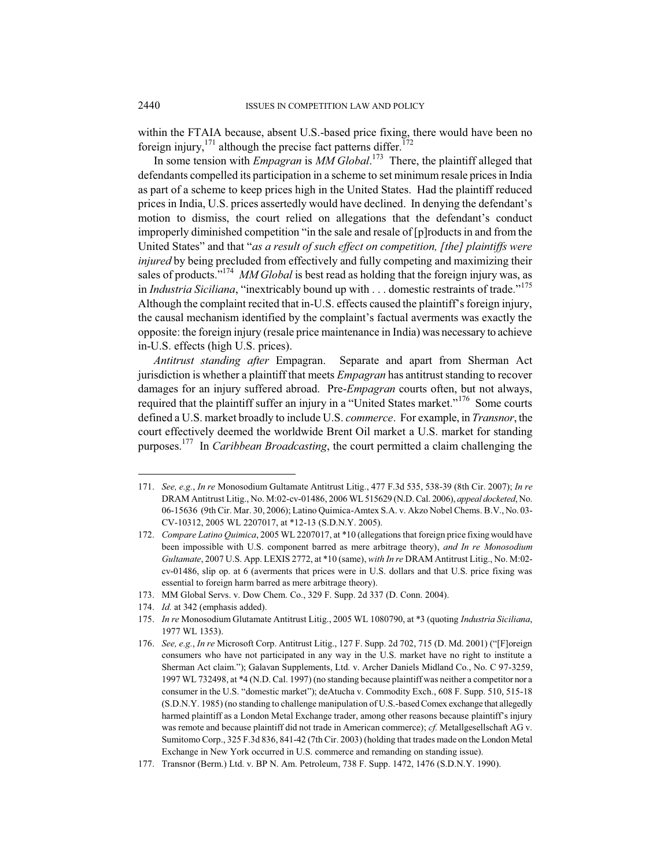within the FTAIA because, absent U.S.-based price fixing, there would have been no foreign injury,<sup>171</sup> although the precise fact patterns differ.<sup>172</sup>

In some tension with *Empagran* is *MM Global*. <sup>173</sup> There, the plaintiff alleged that defendants compelled its participation in a scheme to set minimum resale prices in India as part of a scheme to keep prices high in the United States. Had the plaintiff reduced prices in India, U.S. prices assertedly would have declined. In denying the defendant's motion to dismiss, the court relied on allegations that the defendant's conduct improperly diminished competition "in the sale and resale of [p]roducts in and from the United States" and that "*as a result of such effect on competition, [the] plaintiffs were injured* by being precluded from effectively and fully competing and maximizing their sales of products."<sup>174</sup> *MM Global* is best read as holding that the foreign injury was, as in *Industria Siciliana*, "inextricably bound up with . . . domestic restraints of trade."<sup>175</sup> Although the complaint recited that in-U.S. effects caused the plaintiff's foreign injury, the causal mechanism identified by the complaint's factual averments was exactly the opposite: the foreign injury (resale price maintenance in India) was necessary to achieve in-U.S. effects (high U.S. prices).

*Antitrust standing after* Empagran. Separate and apart from Sherman Act jurisdiction is whether a plaintiff that meets *Empagran* has antitrust standing to recover damages for an injury suffered abroad. Pre-*Empagran* courts often, but not always, required that the plaintiff suffer an injury in a "United States market."<sup>176</sup> Some courts defined a U.S. market broadly to include U.S. *commerce*. For example, in *Transnor*, the court effectively deemed the worldwide Brent Oil market a U.S. market for standing purposes. <sup>177</sup> In *Caribbean Broadcasting*, the court permitted a claim challenging the

<sup>171.</sup> *See, e.g.*, *In re* Monosodium Gultamate Antitrust Litig., 477 F.3d 535, 538-39 (8th Cir. 2007); *In re* DRAM Antitrust Litig., No. M:02-cv-01486, 2006 WL 515629 (N.D. Cal. 2006), *appeal docketed*, No. 06-15636 (9th Cir. Mar. 30, 2006); Latino Quimica-Amtex S.A. v. Akzo Nobel Chems. B.V., No. 03- CV-10312, 2005 WL 2207017, at \*12-13 (S.D.N.Y. 2005).

<sup>172.</sup> *Compare Latino Quimica*, 2005 WL 2207017, at \*10 (allegations that foreign price fixing would have been impossible with U.S. component barred as mere arbitrage theory), *and In re Monosodium Gultamate*, 2007 U.S. App. LEXIS 2772, at \*10 (same), *with In re* DRAM Antitrust Litig., No. M:02 cv-01486, slip op. at 6 (averments that prices were in U.S. dollars and that U.S. price fixing was essential to foreign harm barred as mere arbitrage theory).

<sup>173.</sup> MM Global Servs. v. Dow Chem. Co., 329 F. Supp. 2d 337 (D. Conn. 2004).

<sup>174.</sup> *Id.* at 342 (emphasis added).

<sup>175.</sup> *In re* Monosodium Glutamate Antitrust Litig., 2005 WL 1080790, at \*3 (quoting *Industria Siciliana*, 1977 WL 1353).

<sup>176.</sup> *See, e.g.*, *In re* Microsoft Corp. Antitrust Litig., 127 F. Supp. 2d 702, 715 (D. Md. 2001) ("[F]oreign consumers who have not participated in any way in the U.S. market have no right to institute a Sherman Act claim."); Galavan Supplements, Ltd. v. Archer Daniels Midland Co., No. C 97-3259, 1997 WL 732498, at \*4 (N.D. Cal. 1997) (no standing because plaintiff was neither a competitor nor a consumer in the U.S. "domestic market"); deAtucha v. Commodity Exch., 608 F. Supp. 510, 515-18 (S.D.N.Y. 1985) (no standing to challenge manipulation of U.S.-based Comex exchange that allegedly harmed plaintiff as a London Metal Exchange trader, among other reasons because plaintiff's injury was remote and because plaintiff did not trade in American commerce); *cf.* Metallgesellschaft AG v. Sumitomo Corp., 325 F.3d 836, 841-42 (7th Cir. 2003) (holding that trades made on the London Metal Exchange in New York occurred in U.S. commerce and remanding on standing issue).

<sup>177.</sup> Transnor (Berm.) Ltd. v. BP N. Am. Petroleum, 738 F. Supp. 1472, 1476 (S.D.N.Y. 1990).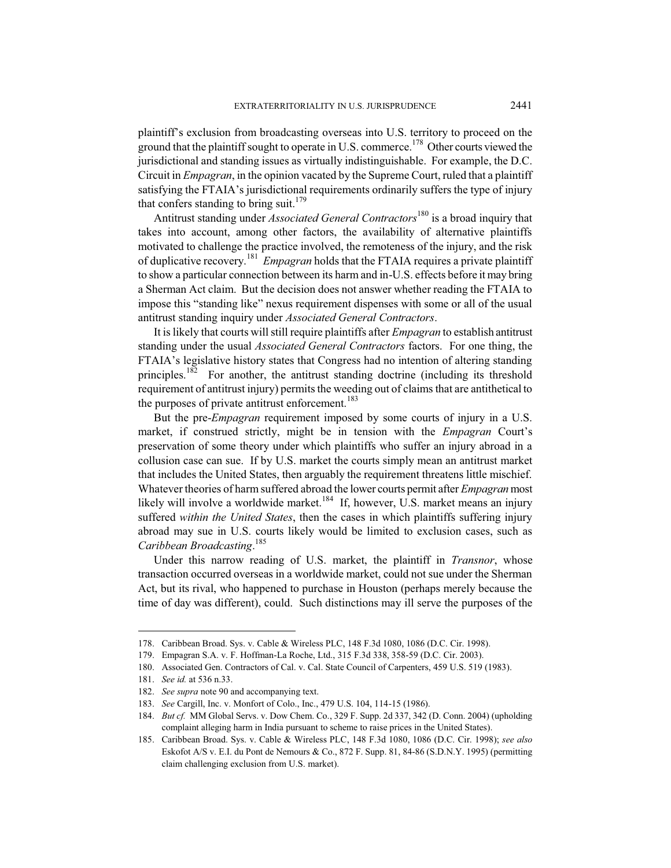plaintiff's exclusion from broadcasting overseas into U.S. territory to proceed on the ground that the plaintiff sought to operate in U.S. commerce.<sup>178</sup> Other courts viewed the jurisdictional and standing issues as virtually indistinguishable. For example, the D.C. Circuit in *Empagran*, in the opinion vacated by the Supreme Court, ruled that a plaintiff satisfying the FTAIA's jurisdictional requirements ordinarily suffers the type of injury that confers standing to bring suit. $179$ 

Antitrust standing under *Associated General Contractors*<sup>180</sup> is a broad inquiry that takes into account, among other factors, the availability of alternative plaintiffs motivated to challenge the practice involved, the remoteness of the injury, and the risk of duplicative recovery.<sup>181</sup> *Empagran* holds that the FTAIA requires a private plaintiff to show a particular connection between its harm and in-U.S. effects before it may bring a Sherman Act claim. But the decision does not answer whether reading the FTAIA to impose this "standing like" nexus requirement dispenses with some or all of the usual antitrust standing inquiry under *Associated General Contractors*.

It is likely that courts will still require plaintiffs after *Empagran* to establish antitrust standing under the usual *Associated General Contractors* factors. For one thing, the FTAIA's legislative history states that Congress had no intention of altering standing principles.<sup>182</sup> For another, the antitrust standing doctrine (including its threshold requirement of antitrust injury) permits the weeding out of claims that are antithetical to the purposes of private antitrust enforcement.<sup>183</sup>

But the pre-*Empagran* requirement imposed by some courts of injury in a U.S. market, if construed strictly, might be in tension with the *Empagran* Court's preservation of some theory under which plaintiffs who suffer an injury abroad in a collusion case can sue. If by U.S. market the courts simply mean an antitrust market that includes the United States, then arguably the requirement threatens little mischief. Whatever theories of harm suffered abroad the lower courts permit after *Empagran* most likely will involve a worldwide market.<sup>184</sup> If, however, U.S. market means an injury suffered *within the United States*, then the cases in which plaintiffs suffering injury abroad may sue in U.S. courts likely would be limited to exclusion cases, such as *Caribbean Broadcasting*. 185

Under this narrow reading of U.S. market, the plaintiff in *Transnor*, whose transaction occurred overseas in a worldwide market, could not sue under the Sherman Act, but its rival, who happened to purchase in Houston (perhaps merely because the time of day was different), could. Such distinctions may ill serve the purposes of the

<sup>178.</sup> Caribbean Broad. Sys. v. Cable & Wireless PLC, 148 F.3d 1080, 1086 (D.C. Cir. 1998).

<sup>179.</sup> Empagran S.A. v. F. Hoffman-La Roche, Ltd., 315 F.3d 338, 358-59 (D.C. Cir. 2003).

<sup>180.</sup> Associated Gen. Contractors of Cal. v. Cal. State Council of Carpenters, 459 U.S. 519 (1983).

<sup>181.</sup> *See id.* at 536 n.33.

<sup>182.</sup> *See supra* note 90 and accompanying text.

<sup>183.</sup> *See* Cargill, Inc. v. Monfort of Colo., Inc., 479 U.S. 104, 114-15 (1986).

<sup>184.</sup> *But cf.* MM Global Servs. v. Dow Chem. Co., 329 F. Supp. 2d 337, 342 (D. Conn. 2004) (upholding complaint alleging harm in India pursuant to scheme to raise prices in the United States).

<sup>185.</sup> Caribbean Broad. Sys. v. Cable & Wireless PLC, 148 F.3d 1080, 1086 (D.C. Cir. 1998); *see also* Eskofot A/S v. E.I. du Pont de Nemours & Co., 872 F. Supp. 81, 84-86 (S.D.N.Y. 1995) (permitting claim challenging exclusion from U.S. market).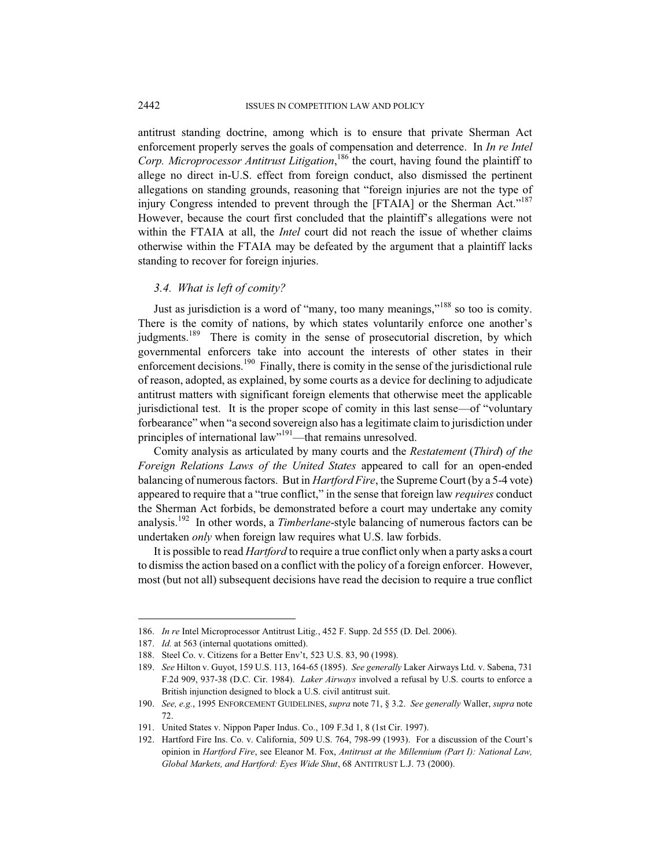antitrust standing doctrine, among which is to ensure that private Sherman Act enforcement properly serves the goals of compensation and deterrence. In *In re Intel Corp. Microprocessor Antitrust Litigation*, <sup>186</sup> the court, having found the plaintiff to allege no direct in-U.S. effect from foreign conduct, also dismissed the pertinent allegations on standing grounds, reasoning that "foreign injuries are not the type of injury Congress intended to prevent through the [FTAIA] or the Sherman Act."<sup>187</sup> However, because the court first concluded that the plaintiff's allegations were not within the FTAIA at all, the *Intel* court did not reach the issue of whether claims otherwise within the FTAIA may be defeated by the argument that a plaintiff lacks standing to recover for foreign injuries.

#### *3.4. What is left of comity?*

Just as jurisdiction is a word of "many, too many meanings,"<sup>188</sup> so too is comity. There is the comity of nations, by which states voluntarily enforce one another's judgments.<sup>189</sup> There is comity in the sense of prosecutorial discretion, by which governmental enforcers take into account the interests of other states in their enforcement decisions.<sup>190</sup> Finally, there is comity in the sense of the jurisdictional rule of reason, adopted, as explained, by some courts as a device for declining to adjudicate antitrust matters with significant foreign elements that otherwise meet the applicable jurisdictional test. It is the proper scope of comity in this last sense—of "voluntary forbearance" when "a second sovereign also has a legitimate claim to jurisdiction under principles of international law"<sup>191</sup>—that remains unresolved.

Comity analysis as articulated by many courts and the *Restatement* (*Third*) *of the Foreign Relations Laws of the United States* appeared to call for an open-ended balancing of numerous factors. But in *Hartford Fire*, the Supreme Court (by a 5-4 vote) appeared to require that a "true conflict," in the sense that foreign law *requires* conduct the Sherman Act forbids, be demonstrated before a court may undertake any comity analysis.<sup>192</sup> In other words, a *Timberlane*-style balancing of numerous factors can be undertaken *only* when foreign law requires what U.S. law forbids.

It is possible to read *Hartford* to require a true conflict only when a party asks a court to dismiss the action based on a conflict with the policy of a foreign enforcer. However, most (but not all) subsequent decisions have read the decision to require a true conflict

<sup>186.</sup> *In re* Intel Microprocessor Antitrust Litig., 452 F. Supp. 2d 555 (D. Del. 2006).

<sup>187.</sup> *Id.* at 563 (internal quotations omitted).

<sup>188.</sup> Steel Co. v. Citizens for a Better Env't, 523 U.S. 83, 90 (1998).

<sup>189.</sup> *See* Hilton v. Guyot, 159 U.S. 113, 164-65 (1895). *See generally* Laker Airways Ltd. v. Sabena, 731 F.2d 909, 937-38 (D.C. Cir. 1984). *Laker Airways* involved a refusal by U.S. courts to enforce a British injunction designed to block a U.S. civil antitrust suit.

<sup>190.</sup> *See, e.g.*, 1995 ENFORCEMENT GUIDELINES, *supra* note 71, § 3.2. *See generally* Waller, *supra* note 72.

<sup>191.</sup> United States v. Nippon Paper Indus. Co., 109 F.3d 1, 8 (1st Cir. 1997).

<sup>192.</sup> Hartford Fire Ins. Co. v. California, 509 U.S. 764, 798-99 (1993). For a discussion of the Court's opinion in *Hartford Fire*, see Eleanor M. Fox, *Antitrust at the Millennium (Part I): National Law, Global Markets, and Hartford: Eyes Wide Shut*, 68 ANTITRUST L.J. 73 (2000).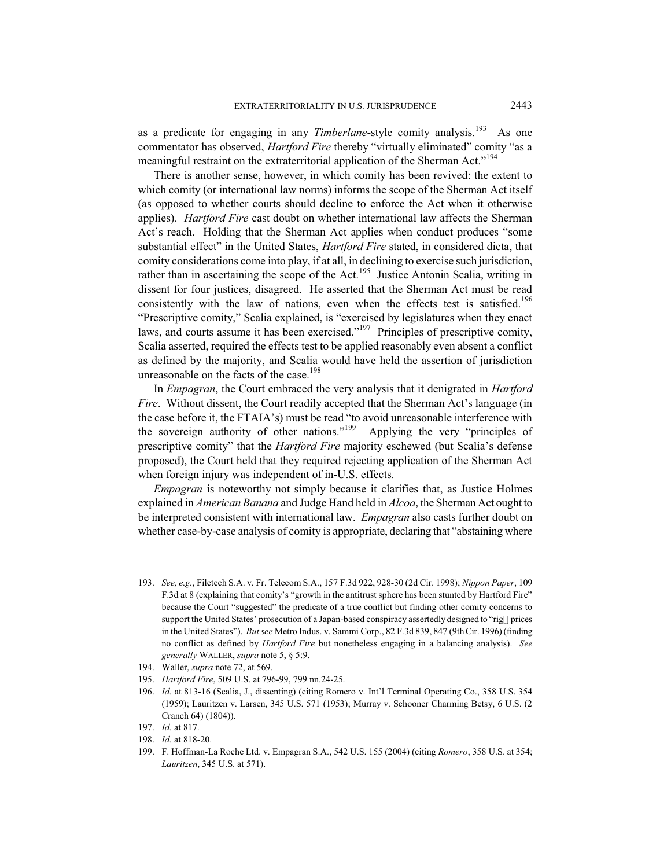as a predicate for engaging in any *Timberlane*-style comity analysis.<sup>193</sup> As one commentator has observed, *Hartford Fire* thereby "virtually eliminated" comity "as a meaningful restraint on the extraterritorial application of the Sherman Act."<sup>194</sup>

There is another sense, however, in which comity has been revived: the extent to which comity (or international law norms) informs the scope of the Sherman Act itself (as opposed to whether courts should decline to enforce the Act when it otherwise applies). *Hartford Fire* cast doubt on whether international law affects the Sherman Act's reach. Holding that the Sherman Act applies when conduct produces "some substantial effect" in the United States, *Hartford Fire* stated, in considered dicta, that comity considerations come into play, if at all, in declining to exercise such jurisdiction, rather than in ascertaining the scope of the Act.<sup>195</sup> Justice Antonin Scalia, writing in dissent for four justices, disagreed. He asserted that the Sherman Act must be read consistently with the law of nations, even when the effects test is satisfied.<sup>196</sup> "Prescriptive comity," Scalia explained, is "exercised by legislatures when they enact laws, and courts assume it has been exercised."<sup>197</sup> Principles of prescriptive comity, Scalia asserted, required the effects test to be applied reasonably even absent a conflict as defined by the majority, and Scalia would have held the assertion of jurisdiction unreasonable on the facts of the case.<sup>198</sup>

In *Empagran*, the Court embraced the very analysis that it denigrated in *Hartford Fire.* Without dissent, the Court readily accepted that the Sherman Act's language (in the case before it, the FTAIA's) must be read "to avoid unreasonable interference with the sovereign authority of other nations."<sup>199</sup> Applying the very "principles of prescriptive comity" that the *Hartford Fire* majority eschewed (but Scalia's defense proposed), the Court held that they required rejecting application of the Sherman Act when foreign injury was independent of in-U.S. effects.

*Empagran* is noteworthy not simply because it clarifies that, as Justice Holmes explained in *American Banana* and Judge Hand held in *Alcoa*, the Sherman Act ought to be interpreted consistent with international law. *Empagran* also casts further doubt on whether case-by-case analysis of comity is appropriate, declaring that "abstaining where

<sup>193.</sup> *See, e.g.*, Filetech S.A. v. Fr. Telecom S.A., 157 F.3d 922, 928-30 (2d Cir. 1998); *Nippon Paper*, 109 F.3d at 8 (explaining that comity's "growth in the antitrust sphere has been stunted by Hartford Fire" because the Court "suggested" the predicate of a true conflict but finding other comity concerns to support the United States' prosecution of a Japan-based conspiracy assertedly designed to "rig[] prices in the United States"). *But see* Metro Indus. v. Sammi Corp., 82 F.3d 839, 847 (9th Cir. 1996) (finding no conflict as defined by *Hartford Fire* but nonetheless engaging in a balancing analysis). *See generally* WALLER, *supra* note 5, § 5:9.

<sup>194.</sup> Waller, *supra* note 72, at 569.

<sup>195.</sup> *Hartford Fire*, 509 U.S. at 796-99, 799 nn.24-25.

<sup>196.</sup> *Id.* at 813-16 (Scalia, J., dissenting) (citing Romero v. Int'l Terminal Operating Co., 358 U.S. 354 (1959); Lauritzen v. Larsen, 345 U.S. 571 (1953); Murray v. Schooner Charming Betsy, 6 U.S. (2 Cranch 64) (1804)).

<sup>197.</sup> *Id.* at 817.

<sup>198.</sup> *Id.* at 818-20.

<sup>199.</sup> F. Hoffman-La Roche Ltd. v. Empagran S.A., 542 U.S. 155 (2004) (citing *Romero*, 358 U.S. at 354; *Lauritzen*, 345 U.S. at 571).